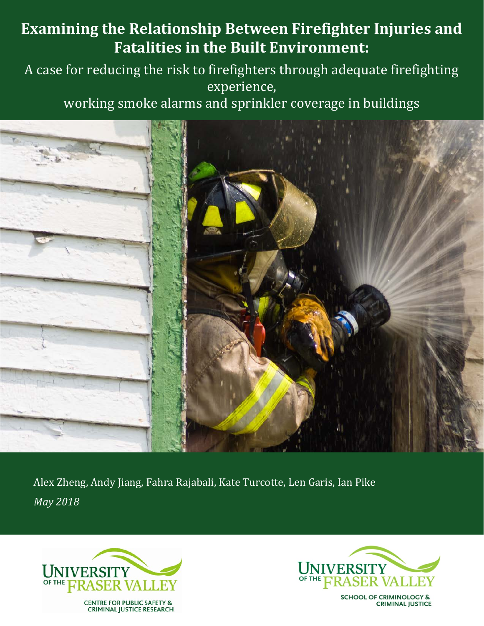# **Examining the Relationship Between Firefighter Injuries and Fatalities in the Built Environment:**

# A case for reducing the risk to firefighters through adequate firefighting experience,

working smoke alarms and sprinkler coverage in buildings



Alex Zheng, Andy Jiang, Fahra Rajabali, Kate Turcotte, Len Garis, Ian Pike *May 2018*





**SCHOOL OF CRIMINOLOGY & CRIMINAL JUSTICE**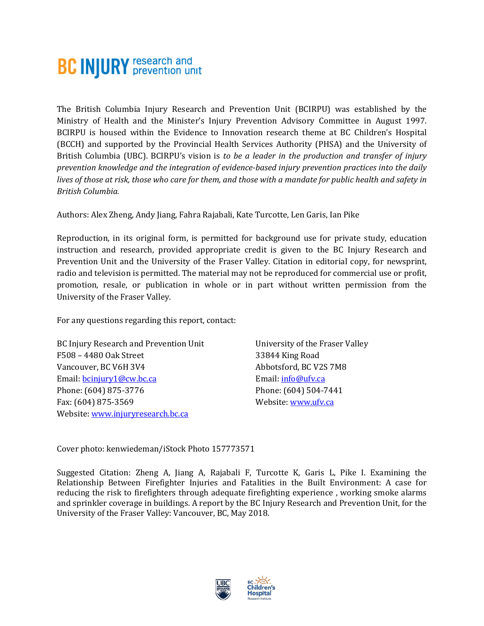# **BC INJURY** research and

The British Columbia Injury Research and Prevention Unit (BCIRPU) was established by the Ministry of Health and the Minister's Injury Prevention Advisory Committee in August 1997. BCIRPU is housed within the Evidence to Innovation research theme at BC Children's Hospital (BCCH) and supported by the Provincial Health Services Authority (PHSA) and the University of British Columbia (UBC). BCIRPU's vision is *to be a leader in the production and transfer of injury prevention knowledge and the integration of evidence-based injury prevention practices into the daily lives of those at risk, those who care for them, and those with a mandate for public health and safety in British Columbia.* 

Authors: Alex Zheng, Andy Jiang, Fahra Rajabali, Kate Turcotte, Len Garis, Ian Pike

Reproduction, in its original form, is permitted for background use for private study, education instruction and research, provided appropriate credit is given to the BC Injury Research and Prevention Unit and the University of the Fraser Valley. Citation in editorial copy, for newsprint, radio and television is permitted. The material may not be reproduced for commercial use or profit, promotion, resale, or publication in whole or in part without written permission from the University of the Fraser Valley.

For any questions regarding this report, contact:

BC Injury Research and Prevention Unit F508 – 4480 Oak Street Vancouver, BC V6H 3V4 Email: [bcinjury1@cw.bc.ca](mailto:bcinjury1@cw.bc.ca) Phone: (604) 875-3776 Fax: (604) 875-3569 Website[: www.injuryresearch.bc.ca](http://www.injuryresearch.bc.ca/)

University of the Fraser Valley 33844 King Road Abbotsford, BC V2S 7M8 Email: [info@ufv.ca](mailto:info@ufv.ca) Phone: (604) 504-7441 Website[: www.ufv.ca](http://www.ufv.ca/)

Cover photo: kenwiedeman/iStock Photo 157773571

Suggested Citation: Zheng A, Jiang A, Rajabali F, Turcotte K, Garis L, Pike I. Examining the Relationship Between Firefighter Injuries and Fatalities in the Built Environment: A case for reducing the risk to firefighters through adequate firefighting experience , working smoke alarms and sprinkler coverage in buildings. A report by the BC Injury Research and Prevention Unit, for the University of the Fraser Valley: Vancouver, BC, May 2018.

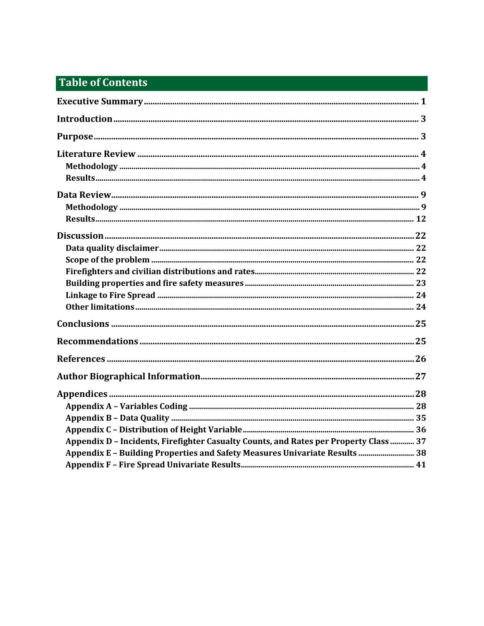# **Table of Contents**

| Appendix D - Incidents, Firefighter Casualty Counts, and Rates per Property Class  37 |  |
|---------------------------------------------------------------------------------------|--|
| Appendix E - Building Properties and Safety Measures Univariate Results  38           |  |
|                                                                                       |  |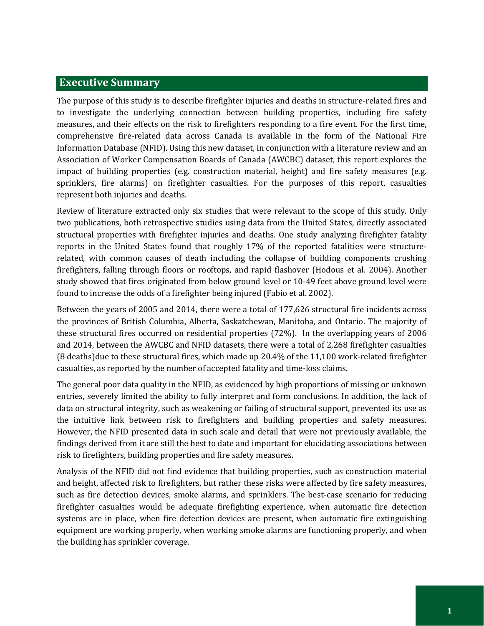# <span id="page-4-0"></span>**Executive Summary**

The purpose of this study is to describe firefighter injuries and deaths in structure-related fires and to investigate the underlying connection between building properties, including fire safety measures, and their effects on the risk to firefighters responding to a fire event. For the first time, comprehensive fire-related data across Canada is available in the form of the National Fire Information Database (NFID). Using this new dataset, in conjunction with a literature review and an Association of Worker Compensation Boards of Canada (AWCBC) dataset, this report explores the impact of building properties (e.g. construction material, height) and fire safety measures (e.g. sprinklers, fire alarms) on firefighter casualties. For the purposes of this report, casualties represent both injuries and deaths.

Review of literature extracted only six studies that were relevant to the scope of this study. Only two publications, both retrospective studies using data from the United States, directly associated structural properties with firefighter injuries and deaths. One study analyzing firefighter fatality reports in the United States found that roughly 17% of the reported fatalities were structurerelated, with common causes of death including the collapse of building components crushing firefighters, falling through floors or rooftops, and rapid flashover (Hodous et al. 2004). Another study showed that fires originated from below ground level or 10-49 feet above ground level were found to increase the odds of a firefighter being injured (Fabio et al. 2002).

Between the years of 2005 and 2014, there were a total of 177,626 structural fire incidents across the provinces of British Columbia, Alberta, Saskatchewan, Manitoba, and Ontario. The majority of these structural fires occurred on residential properties (72%). In the overlapping years of 2006 and 2014, between the AWCBC and NFID datasets, there were a total of 2,268 firefighter casualties (8 deaths)due to these structural fires, which made up 20.4% of the 11,100 work-related firefighter casualties, as reported by the number of accepted fatality and time-loss claims.

The general poor data quality in the NFID, as evidenced by high proportions of missing or unknown entries, severely limited the ability to fully interpret and form conclusions. In addition, the lack of data on structural integrity, such as weakening or failing of structural support, prevented its use as the intuitive link between risk to firefighters and building properties and safety measures. However, the NFID presented data in such scale and detail that were not previously available, the findings derived from it are still the best to date and important for elucidating associations between risk to firefighters, building properties and fire safety measures.

Analysis of the NFID did not find evidence that building properties, such as construction material and height, affected risk to firefighters, but rather these risks were affected by fire safety measures, such as fire detection devices, smoke alarms, and sprinklers. The best-case scenario for reducing firefighter casualties would be adequate firefighting experience, when automatic fire detection systems are in place, when fire detection devices are present, when automatic fire extinguishing equipment are working properly, when working smoke alarms are functioning properly, and when the building has sprinkler coverage.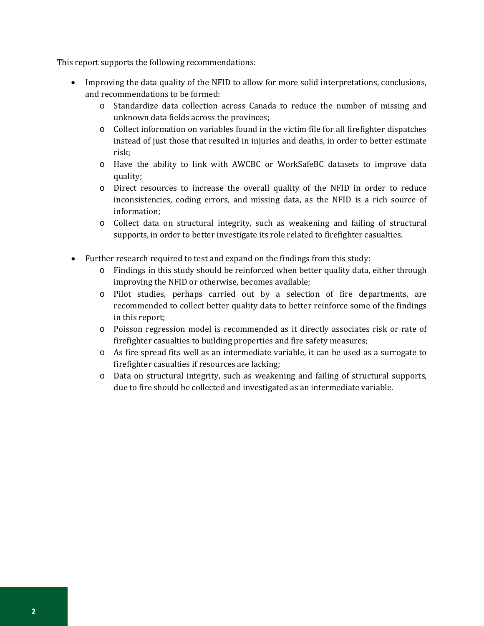This report supports the following recommendations:

- Improving the data quality of the NFID to allow for more solid interpretations, conclusions, and recommendations to be formed:
	- o Standardize data collection across Canada to reduce the number of missing and unknown data fields across the provinces;
	- o Collect information on variables found in the victim file for all firefighter dispatches instead of just those that resulted in injuries and deaths, in order to better estimate risk;
	- o Have the ability to link with AWCBC or WorkSafeBC datasets to improve data quality;
	- o Direct resources to increase the overall quality of the NFID in order to reduce inconsistencies, coding errors, and missing data, as the NFID is a rich source of information;
	- o Collect data on structural integrity, such as weakening and failing of structural supports, in order to better investigate its role related to firefighter casualties.
- Further research required to test and expand on the findings from this study:
	- o Findings in this study should be reinforced when better quality data, either through improving the NFID or otherwise, becomes available;
	- o Pilot studies, perhaps carried out by a selection of fire departments, are recommended to collect better quality data to better reinforce some of the findings in this report;
	- o Poisson regression model is recommended as it directly associates risk or rate of firefighter casualties to building properties and fire safety measures;
	- o As fire spread fits well as an intermediate variable, it can be used as a surrogate to firefighter casualties if resources are lacking;
	- o Data on structural integrity, such as weakening and failing of structural supports, due to fire should be collected and investigated as an intermediate variable.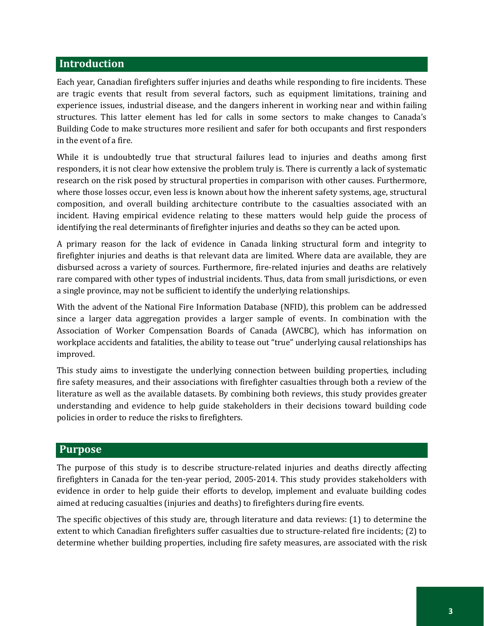# <span id="page-6-0"></span>**Introduction**

Each year, Canadian firefighters suffer injuries and deaths while responding to fire incidents. These are tragic events that result from several factors, such as equipment limitations, training and experience issues, industrial disease, and the dangers inherent in working near and within failing structures. This latter element has led for calls in some sectors to make changes to Canada's Building Code to make structures more resilient and safer for both occupants and first responders in the event of a fire.

While it is undoubtedly true that structural failures lead to injuries and deaths among first responders, it is not clear how extensive the problem truly is. There is currently a lack of systematic research on the risk posed by structural properties in comparison with other causes. Furthermore, where those losses occur, even less is known about how the inherent safety systems, age, structural composition, and overall building architecture contribute to the casualties associated with an incident. Having empirical evidence relating to these matters would help guide the process of identifying the real determinants of firefighter injuries and deaths so they can be acted upon.

A primary reason for the lack of evidence in Canada linking structural form and integrity to firefighter injuries and deaths is that relevant data are limited. Where data are available, they are disbursed across a variety of sources. Furthermore, fire-related injuries and deaths are relatively rare compared with other types of industrial incidents. Thus, data from small jurisdictions, or even a single province, may not be sufficient to identify the underlying relationships.

With the advent of the National Fire Information Database (NFID), this problem can be addressed since a larger data aggregation provides a larger sample of events. In combination with the Association of Worker Compensation Boards of Canada (AWCBC), which has information on workplace accidents and fatalities, the ability to tease out "true" underlying causal relationships has improved.

This study aims to investigate the underlying connection between building properties, including fire safety measures, and their associations with firefighter casualties through both a review of the literature as well as the available datasets. By combining both reviews, this study provides greater understanding and evidence to help guide stakeholders in their decisions toward building code policies in order to reduce the risks to firefighters.

# <span id="page-6-1"></span>**Purpose**

The purpose of this study is to describe structure-related injuries and deaths directly affecting firefighters in Canada for the ten-year period, 2005-2014. This study provides stakeholders with evidence in order to help guide their efforts to develop, implement and evaluate building codes aimed at reducing casualties (injuries and deaths) to firefighters during fire events.

The specific objectives of this study are, through literature and data reviews: (1) to determine the extent to which Canadian firefighters suffer casualties due to structure-related fire incidents; (2) to determine whether building properties, including fire safety measures, are associated with the risk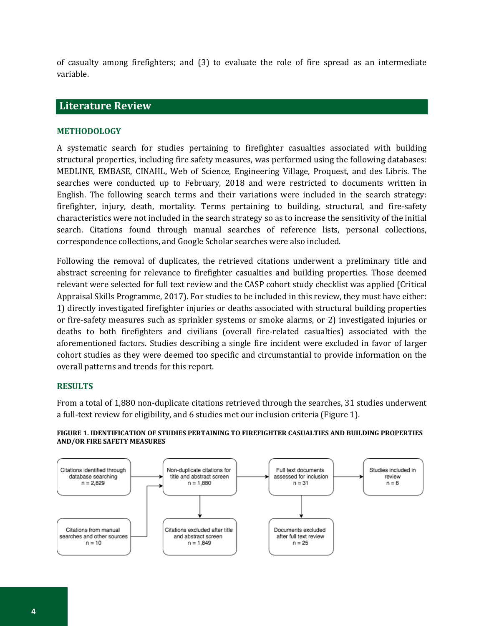of casualty among firefighters; and (3) to evaluate the role of fire spread as an intermediate variable.

# <span id="page-7-0"></span>**Literature Review**

#### <span id="page-7-1"></span>**METHODOLOGY**

A systematic search for studies pertaining to firefighter casualties associated with building structural properties, including fire safety measures, was performed using the following databases: MEDLINE, EMBASE, CINAHL, Web of Science, Engineering Village, Proquest, and des Libris. The searches were conducted up to February, 2018 and were restricted to documents written in English. The following search terms and their variations were included in the search strategy: firefighter, injury, death, mortality. Terms pertaining to building, structural, and fire-safety characteristics were not included in the search strategy so as to increase the sensitivity of the initial search. Citations found through manual searches of reference lists, personal collections, correspondence collections, and Google Scholar searches were also included.

Following the removal of duplicates, the retrieved citations underwent a preliminary title and abstract screening for relevance to firefighter casualties and building properties. Those deemed relevant were selected for full text review and the CASP cohort study checklist was applied (Critical Appraisal Skills Programme, 2017). For studies to be included in this review, they must have either: 1) directly investigated firefighter injuries or deaths associated with structural building properties or fire-safety measures such as sprinkler systems or smoke alarms, or 2) investigated injuries or deaths to both firefighters and civilians (overall fire-related casualties) associated with the aforementioned factors. Studies describing a single fire incident were excluded in favor of larger cohort studies as they were deemed too specific and circumstantial to provide information on the overall patterns and trends for this report.

#### <span id="page-7-2"></span>**RESULTS**

From a total of 1,880 non-duplicate citations retrieved through the searches, 31 studies underwent a full-text review for eligibility, and 6 studies met our inclusion criteria (Figure 1).



#### **FIGURE 1. IDENTIFICATION OF STUDIES PERTAINING TO FIREFIGHTER CASUALTIES AND BUILDING PROPERTIES AND/OR FIRE SAFETY MEASURES**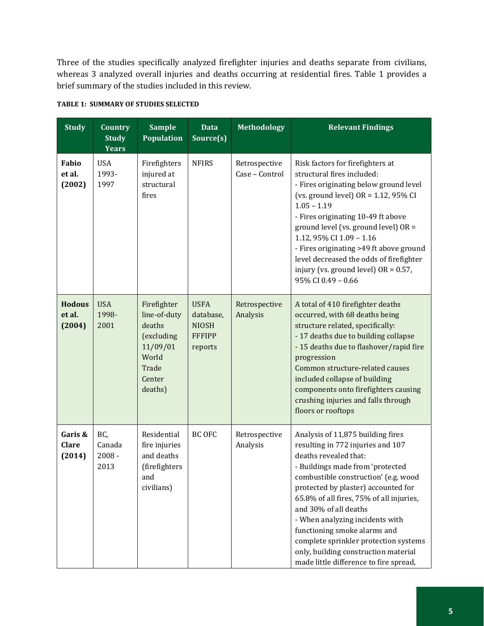Three of the studies specifically analyzed firefighter injuries and deaths separate from civilians, whereas 3 analyzed overall injuries and deaths occurring at residential fires. Table 1 provides a brief summary of the studies included in this review.

| <b>Study</b>                      | <b>Country</b><br><b>Study</b><br>Years | <b>Sample</b><br><b>Population</b>                                                                     | <b>Data</b><br>Source(s)                                             | <b>Methodology</b>              | <b>Relevant Findings</b>                                                                                                                                                                                                                                                                                                                                                                                                                                                              |
|-----------------------------------|-----------------------------------------|--------------------------------------------------------------------------------------------------------|----------------------------------------------------------------------|---------------------------------|---------------------------------------------------------------------------------------------------------------------------------------------------------------------------------------------------------------------------------------------------------------------------------------------------------------------------------------------------------------------------------------------------------------------------------------------------------------------------------------|
| Fabio<br>et al.<br>(2002)         | <b>USA</b><br>1993-<br>1997             | Firefighters<br>injured at<br>structural<br>fires                                                      | <b>NFIRS</b>                                                         | Retrospective<br>Case - Control | Risk factors for firefighters at<br>structural fires included:<br>- Fires originating below ground level<br>(vs. ground level) $OR = 1.12$ , 95% CI<br>$1.05 - 1.19$<br>- Fires originating 10-49 ft above<br>ground level (vs. ground level) OR =<br>1.12, 95% CI 1.09 - 1.16<br>- Fires originating >49 ft above ground<br>level decreased the odds of firefighter<br>injury (vs. ground level) $OR = 0.57$ ,<br>95% CI 0.49 - 0.66                                                 |
| <b>Hodous</b><br>et al.<br>(2004) | <b>USA</b><br>1998-<br>2001             | Firefighter<br>line-of-duty<br>deaths<br>(excluding<br>11/09/01<br>World<br>Trade<br>Center<br>deaths) | <b>USFA</b><br>database,<br><b>NIOSH</b><br><b>FFFIPP</b><br>reports | Retrospective<br>Analysis       | A total of 410 firefighter deaths<br>occurred, with 68 deaths being<br>structure related, specifically:<br>- 17 deaths due to building collapse<br>- 15 deaths due to flashover/rapid fire<br>progression<br>Common structure-related causes<br>included collapse of building<br>components onto firefighters causing<br>crushing injuries and falls through<br>floors or rooftops                                                                                                    |
| Garis &<br><b>Clare</b><br>(2014) | BC,<br>Canada<br>$2008 -$<br>2013       | Residential<br>fire injuries<br>and deaths<br>(firefighters<br>and<br>civilians)                       | <b>BC OFC</b>                                                        | Retrospective<br>Analysis       | Analysis of 11,875 building fires<br>resulting in 772 injuries and 107<br>deaths revealed that:<br>- Buildings made from 'protected<br>combustible construction' (e.g. wood<br>protected by plaster) accounted for<br>65.8% of all fires, 75% of all injuries,<br>and 30% of all deaths<br>- When analyzing incidents with<br>functioning smoke alarms and<br>complete sprinkler protection systems<br>only, building construction material<br>made little difference to fire spread, |

#### **TABLE 1: SUMMARY OF STUDIES SELECTED**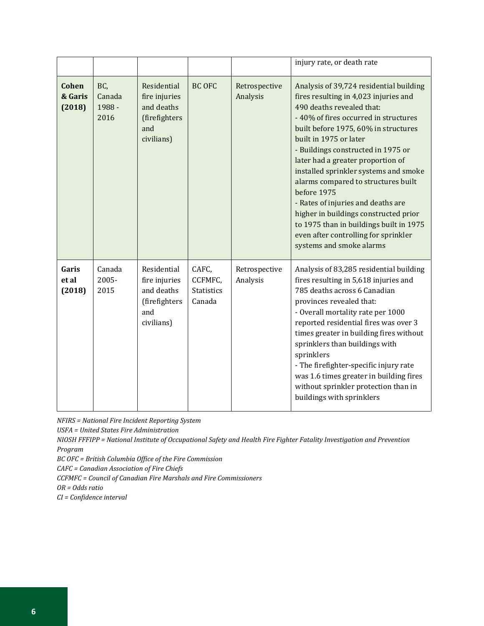|                                   |                                 |                                                                                  |                                                 |                           | injury rate, or death rate                                                                                                                                                                                                                                                                                                                                                                                                                                                                                                                                                                       |
|-----------------------------------|---------------------------------|----------------------------------------------------------------------------------|-------------------------------------------------|---------------------------|--------------------------------------------------------------------------------------------------------------------------------------------------------------------------------------------------------------------------------------------------------------------------------------------------------------------------------------------------------------------------------------------------------------------------------------------------------------------------------------------------------------------------------------------------------------------------------------------------|
| <b>Cohen</b><br>& Garis<br>(2018) | BC,<br>Canada<br>1988 -<br>2016 | Residential<br>fire injuries<br>and deaths<br>(firefighters<br>and<br>civilians) | <b>BC OFC</b>                                   | Retrospective<br>Analysis | Analysis of 39,724 residential building<br>fires resulting in 4,023 injuries and<br>490 deaths revealed that:<br>- 40% of fires occurred in structures<br>built before 1975, 60% in structures<br>built in 1975 or later<br>- Buildings constructed in 1975 or<br>later had a greater proportion of<br>installed sprinkler systems and smoke<br>alarms compared to structures built<br>before 1975<br>- Rates of injuries and deaths are<br>higher in buildings constructed prior<br>to 1975 than in buildings built in 1975<br>even after controlling for sprinkler<br>systems and smoke alarms |
| Garis<br>et al<br>(2018)          | Canada<br>2005-<br>2015         | Residential<br>fire injuries<br>and deaths<br>(firefighters<br>and<br>civilians) | CAFC,<br>CCFMFC,<br><b>Statistics</b><br>Canada | Retrospective<br>Analysis | Analysis of 83,285 residential building<br>fires resulting in 5,618 injuries and<br>785 deaths across 6 Canadian<br>provinces revealed that:<br>- Overall mortality rate per 1000<br>reported residential fires was over 3<br>times greater in building fires without<br>sprinklers than buildings with<br>sprinklers<br>- The firefighter-specific injury rate<br>was 1.6 times greater in building fires<br>without sprinkler protection than in<br>buildings with sprinklers                                                                                                                  |

*NFIRS = National Fire Incident Reporting System*

*USFA = United States Fire Administration*

*NIOSH FFFIPP = National Institute of Occupational Safety and Health Fire Fighter Fatality Investigation and Prevention Program*

*BC OFC = British Columbia Office of the Fire Commission*

*CAFC = Canadian Association of Fire Chiefs*

*CCFMFC = Council of Canadian Fire Marshals and Fire Commissioners*

*OR = Odds ratio*

*CI = Confidence interval*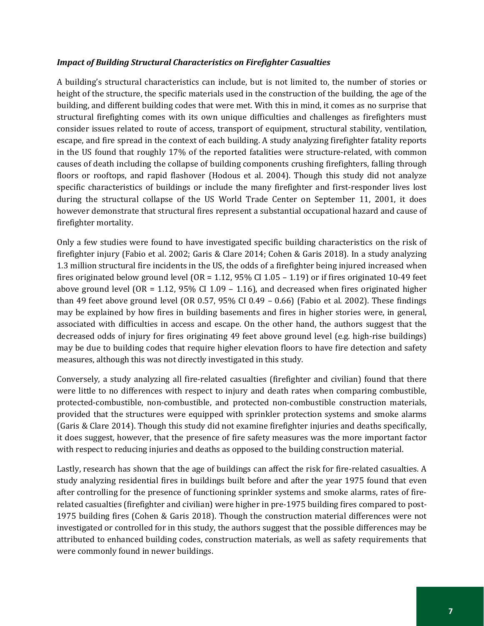#### *Impact of Building Structural Characteristics on Firefighter Casualties*

A building's structural characteristics can include, but is not limited to, the number of stories or height of the structure, the specific materials used in the construction of the building, the age of the building, and different building codes that were met. With this in mind, it comes as no surprise that structural firefighting comes with its own unique difficulties and challenges as firefighters must consider issues related to route of access, transport of equipment, structural stability, ventilation, escape, and fire spread in the context of each building. A study analyzing firefighter fatality reports in the US found that roughly 17% of the reported fatalities were structure-related, with common causes of death including the collapse of building components crushing firefighters, falling through floors or rooftops, and rapid flashover (Hodous et al. 2004). Though this study did not analyze specific characteristics of buildings or include the many firefighter and first-responder lives lost during the structural collapse of the US World Trade Center on September 11, 2001, it does however demonstrate that structural fires represent a substantial occupational hazard and cause of firefighter mortality.

Only a few studies were found to have investigated specific building characteristics on the risk of firefighter injury (Fabio et al. 2002; Garis & Clare 2014; Cohen & Garis 2018). In a study analyzing 1.3 million structural fire incidents in the US, the odds of a firefighter being injured increased when fires originated below ground level ( $OR = 1.12$ ,  $95\%$  CI 1.05 – 1.19) or if fires originated 10-49 feet above ground level (OR = 1.12, 95% CI 1.09 – 1.16), and decreased when fires originated higher than 49 feet above ground level (OR 0.57, 95% CI 0.49 – 0.66) (Fabio et al. 2002). These findings may be explained by how fires in building basements and fires in higher stories were, in general, associated with difficulties in access and escape. On the other hand, the authors suggest that the decreased odds of injury for fires originating 49 feet above ground level (e.g. high-rise buildings) may be due to building codes that require higher elevation floors to have fire detection and safety measures, although this was not directly investigated in this study.

Conversely, a study analyzing all fire-related casualties (firefighter and civilian) found that there were little to no differences with respect to injury and death rates when comparing combustible, protected-combustible, non-combustible, and protected non-combustible construction materials, provided that the structures were equipped with sprinkler protection systems and smoke alarms (Garis & Clare 2014). Though this study did not examine firefighter injuries and deaths specifically, it does suggest, however, that the presence of fire safety measures was the more important factor with respect to reducing injuries and deaths as opposed to the building construction material.

Lastly, research has shown that the age of buildings can affect the risk for fire-related casualties. A study analyzing residential fires in buildings built before and after the year 1975 found that even after controlling for the presence of functioning sprinkler systems and smoke alarms, rates of firerelated casualties (firefighter and civilian) were higher in pre-1975 building fires compared to post-1975 building fires (Cohen & Garis 2018). Though the construction material differences were not investigated or controlled for in this study, the authors suggest that the possible differences may be attributed to enhanced building codes, construction materials, as well as safety requirements that were commonly found in newer buildings.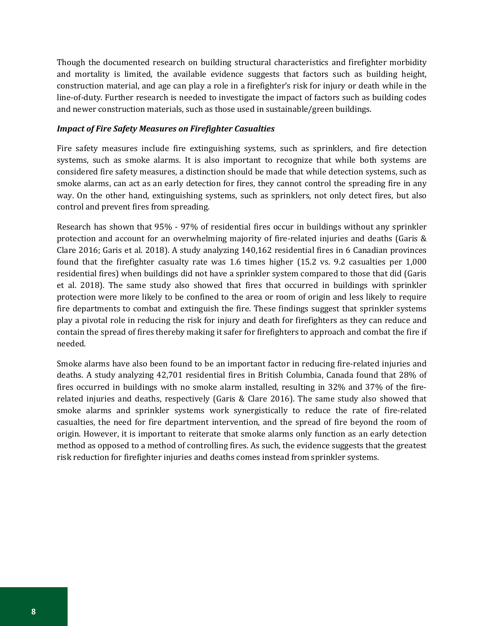Though the documented research on building structural characteristics and firefighter morbidity and mortality is limited, the available evidence suggests that factors such as building height, construction material, and age can play a role in a firefighter's risk for injury or death while in the line-of-duty. Further research is needed to investigate the impact of factors such as building codes and newer construction materials, such as those used in sustainable/green buildings.

#### *Impact of Fire Safety Measures on Firefighter Casualties*

Fire safety measures include fire extinguishing systems, such as sprinklers, and fire detection systems, such as smoke alarms. It is also important to recognize that while both systems are considered fire safety measures, a distinction should be made that while detection systems, such as smoke alarms, can act as an early detection for fires, they cannot control the spreading fire in any way. On the other hand, extinguishing systems, such as sprinklers, not only detect fires, but also control and prevent fires from spreading.

Research has shown that 95% - 97% of residential fires occur in buildings without any sprinkler protection and account for an overwhelming majority of fire-related injuries and deaths (Garis & Clare 2016; Garis et al. 2018). A study analyzing 140,162 residential fires in 6 Canadian provinces found that the firefighter casualty rate was 1.6 times higher (15.2 vs. 9.2 casualties per 1,000 residential fires) when buildings did not have a sprinkler system compared to those that did (Garis et al. 2018). The same study also showed that fires that occurred in buildings with sprinkler protection were more likely to be confined to the area or room of origin and less likely to require fire departments to combat and extinguish the fire. These findings suggest that sprinkler systems play a pivotal role in reducing the risk for injury and death for firefighters as they can reduce and contain the spread of fires thereby making it safer for firefighters to approach and combat the fire if needed.

Smoke alarms have also been found to be an important factor in reducing fire-related injuries and deaths. A study analyzing 42,701 residential fires in British Columbia, Canada found that 28% of fires occurred in buildings with no smoke alarm installed, resulting in 32% and 37% of the firerelated injuries and deaths, respectively (Garis & Clare 2016). The same study also showed that smoke alarms and sprinkler systems work synergistically to reduce the rate of fire-related casualties, the need for fire department intervention, and the spread of fire beyond the room of origin. However, it is important to reiterate that smoke alarms only function as an early detection method as opposed to a method of controlling fires. As such, the evidence suggests that the greatest risk reduction for firefighter injuries and deaths comes instead from sprinkler systems.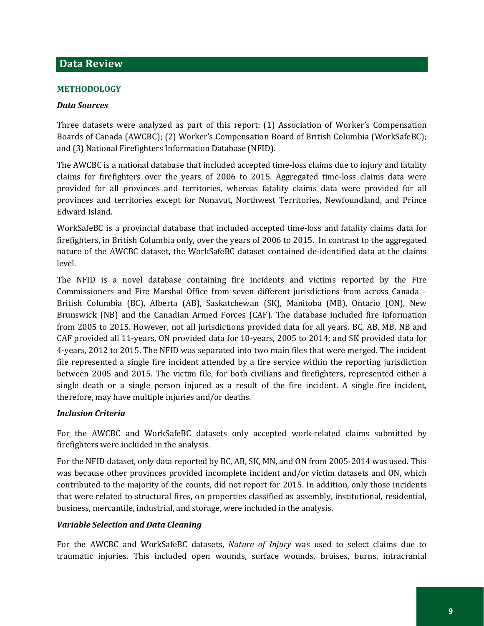# <span id="page-12-0"></span>**Data Review**

#### <span id="page-12-1"></span>**METHODOLOGY**

#### *Data Sources*

Three datasets were analyzed as part of this report: (1) Association of Worker's Compensation Boards of Canada (AWCBC); (2) Worker's Compensation Board of British Columbia (WorkSafeBC); and (3) National Firefighters Information Database (NFID).

The AWCBC is a national database that included accepted time-loss claims due to injury and fatality claims for firefighters over the years of 2006 to 2015. Aggregated time-loss claims data were provided for all provinces and territories, whereas fatality claims data were provided for all provinces and territories except for Nunavut, Northwest Territories, Newfoundland, and Prince Edward Island.

WorkSafeBC is a provincial database that included accepted time-loss and fatality claims data for firefighters, in British Columbia only, over the years of 2006 to 2015. In contrast to the aggregated nature of the AWCBC dataset, the WorkSafeBC dataset contained de-identified data at the claims level.

The NFID is a novel database containing fire incidents and victims reported by the Fire Commissioners and Fire Marshal Office from seven different jurisdictions from across Canada – British Columbia (BC), Alberta (AB), Saskatchewan (SK), Manitoba (MB), Ontario (ON), New Brunswick (NB) and the Canadian Armed Forces (CAF). The database included fire information from 2005 to 2015. However, not all jurisdictions provided data for all years. BC, AB, MB, NB and CAF provided all 11-years, ON provided data for 10-years, 2005 to 2014; and SK provided data for 4-years, 2012 to 2015. The NFID was separated into two main files that were merged. The incident file represented a single fire incident attended by a fire service within the reporting jurisdiction between 2005 and 2015. The victim file, for both civilians and firefighters, represented either a single death or a single person injured as a result of the fire incident. A single fire incident, therefore, may have multiple injuries and/or deaths.

#### *Inclusion Criteria*

For the AWCBC and WorkSafeBC datasets only accepted work-related claims submitted by firefighters were included in the analysis.

For the NFID dataset, only data reported by BC, AB, SK, MN, and ON from 2005-2014 was used. This was because other provinces provided incomplete incident and/or victim datasets and ON, which contributed to the majority of the counts, did not report for 2015. In addition, only those incidents that were related to structural fires, on properties classified as assembly, institutional, residential, business, mercantile, industrial, and storage, were included in the analysis.

#### *Variable Selection and Data Cleaning*

For the AWCBC and WorkSafeBC datasets, *Nature of Injury* was used to select claims due to traumatic injuries. This included open wounds, surface wounds, bruises, burns, intracranial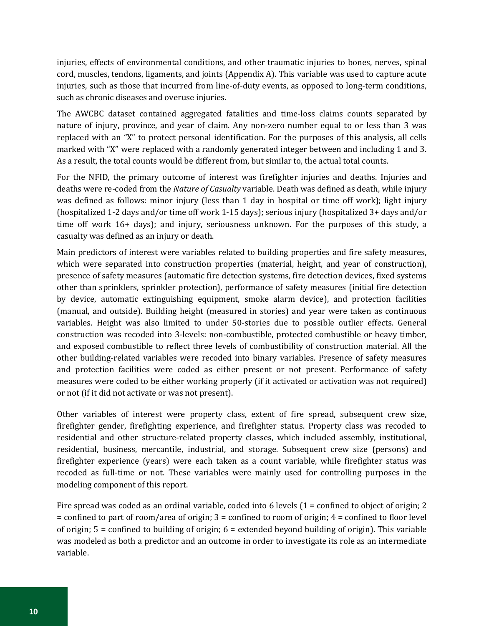injuries, effects of environmental conditions, and other traumatic injuries to bones, nerves, spinal cord, muscles, tendons, ligaments, and joints (Appendix A). This variable was used to capture acute injuries, such as those that incurred from line-of-duty events, as opposed to long-term conditions, such as chronic diseases and overuse injuries.

The AWCBC dataset contained aggregated fatalities and time-loss claims counts separated by nature of injury, province, and year of claim. Any non-zero number equal to or less than 3 was replaced with an "X" to protect personal identification. For the purposes of this analysis, all cells marked with "X" were replaced with a randomly generated integer between and including 1 and 3. As a result, the total counts would be different from, but similar to, the actual total counts.

For the NFID, the primary outcome of interest was firefighter injuries and deaths. Injuries and deaths were re-coded from the *Nature of Casualty* variable. Death was defined as death, while injury was defined as follows: minor injury (less than 1 day in hospital or time off work); light injury (hospitalized 1-2 days and/or time off work 1-15 days); serious injury (hospitalized 3+ days and/or time off work 16+ days); and injury, seriousness unknown. For the purposes of this study, a casualty was defined as an injury or death.

Main predictors of interest were variables related to building properties and fire safety measures, which were separated into construction properties (material, height, and year of construction), presence of safety measures (automatic fire detection systems, fire detection devices, fixed systems other than sprinklers, sprinkler protection), performance of safety measures (initial fire detection by device, automatic extinguishing equipment, smoke alarm device), and protection facilities (manual, and outside). Building height (measured in stories) and year were taken as continuous variables. Height was also limited to under 50-stories due to possible outlier effects. General construction was recoded into 3-levels: non-combustible, protected combustible or heavy timber, and exposed combustible to reflect three levels of combustibility of construction material. All the other building-related variables were recoded into binary variables. Presence of safety measures and protection facilities were coded as either present or not present. Performance of safety measures were coded to be either working properly (if it activated or activation was not required) or not (if it did not activate or was not present).

Other variables of interest were property class, extent of fire spread, subsequent crew size, firefighter gender, firefighting experience, and firefighter status. Property class was recoded to residential and other structure-related property classes, which included assembly, institutional, residential, business, mercantile, industrial, and storage. Subsequent crew size (persons) and firefighter experience (years) were each taken as a count variable, while firefighter status was recoded as full-time or not. These variables were mainly used for controlling purposes in the modeling component of this report.

Fire spread was coded as an ordinal variable, coded into 6 levels  $(1 = \text{confined to object of origin}; 2$ = confined to part of room/area of origin; 3 = confined to room of origin; 4 = confined to floor level of origin; 5 = confined to building of origin; 6 = extended beyond building of origin). This variable was modeled as both a predictor and an outcome in order to investigate its role as an intermediate variable.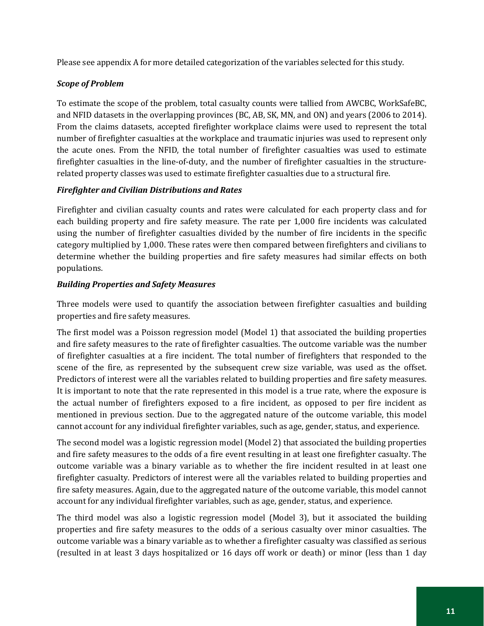Please see appendix A for more detailed categorization of the variables selected for this study.

## *Scope of Problem*

To estimate the scope of the problem, total casualty counts were tallied from AWCBC, WorkSafeBC, and NFID datasets in the overlapping provinces (BC, AB, SK, MN, and ON) and years (2006 to 2014). From the claims datasets, accepted firefighter workplace claims were used to represent the total number of firefighter casualties at the workplace and traumatic injuries was used to represent only the acute ones. From the NFID, the total number of firefighter casualties was used to estimate firefighter casualties in the line-of-duty, and the number of firefighter casualties in the structurerelated property classes was used to estimate firefighter casualties due to a structural fire.

# *Firefighter and Civilian Distributions and Rates*

Firefighter and civilian casualty counts and rates were calculated for each property class and for each building property and fire safety measure. The rate per 1,000 fire incidents was calculated using the number of firefighter casualties divided by the number of fire incidents in the specific category multiplied by 1,000. These rates were then compared between firefighters and civilians to determine whether the building properties and fire safety measures had similar effects on both populations.

# *Building Properties and Safety Measures*

Three models were used to quantify the association between firefighter casualties and building properties and fire safety measures.

The first model was a Poisson regression model (Model 1) that associated the building properties and fire safety measures to the rate of firefighter casualties. The outcome variable was the number of firefighter casualties at a fire incident. The total number of firefighters that responded to the scene of the fire, as represented by the subsequent crew size variable, was used as the offset. Predictors of interest were all the variables related to building properties and fire safety measures. It is important to note that the rate represented in this model is a true rate, where the exposure is the actual number of firefighters exposed to a fire incident, as opposed to per fire incident as mentioned in previous section. Due to the aggregated nature of the outcome variable, this model cannot account for any individual firefighter variables, such as age, gender, status, and experience.

The second model was a logistic regression model (Model 2) that associated the building properties and fire safety measures to the odds of a fire event resulting in at least one firefighter casualty. The outcome variable was a binary variable as to whether the fire incident resulted in at least one firefighter casualty. Predictors of interest were all the variables related to building properties and fire safety measures. Again, due to the aggregated nature of the outcome variable, this model cannot account for any individual firefighter variables, such as age, gender, status, and experience.

The third model was also a logistic regression model (Model 3), but it associated the building properties and fire safety measures to the odds of a serious casualty over minor casualties. The outcome variable was a binary variable as to whether a firefighter casualty was classified as serious (resulted in at least 3 days hospitalized or 16 days off work or death) or minor (less than 1 day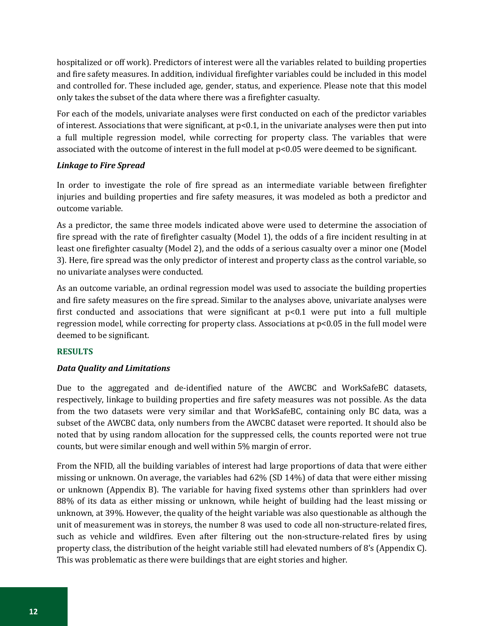hospitalized or off work). Predictors of interest were all the variables related to building properties and fire safety measures. In addition, individual firefighter variables could be included in this model and controlled for. These included age, gender, status, and experience. Please note that this model only takes the subset of the data where there was a firefighter casualty.

For each of the models, univariate analyses were first conducted on each of the predictor variables of interest. Associations that were significant, at p<0.1, in the univariate analyses were then put into a full multiple regression model, while correcting for property class. The variables that were associated with the outcome of interest in the full model at p<0.05 were deemed to be significant.

#### *Linkage to Fire Spread*

In order to investigate the role of fire spread as an intermediate variable between firefighter injuries and building properties and fire safety measures, it was modeled as both a predictor and outcome variable.

As a predictor, the same three models indicated above were used to determine the association of fire spread with the rate of firefighter casualty (Model 1), the odds of a fire incident resulting in at least one firefighter casualty (Model 2), and the odds of a serious casualty over a minor one (Model 3). Here, fire spread was the only predictor of interest and property class as the control variable, so no univariate analyses were conducted.

As an outcome variable, an ordinal regression model was used to associate the building properties and fire safety measures on the fire spread. Similar to the analyses above, univariate analyses were first conducted and associations that were significant at  $p<0.1$  were put into a full multiple regression model, while correcting for property class. Associations at p<0.05 in the full model were deemed to be significant.

#### <span id="page-15-0"></span>**RESULTS**

#### *Data Quality and Limitations*

Due to the aggregated and de-identified nature of the AWCBC and WorkSafeBC datasets, respectively, linkage to building properties and fire safety measures was not possible. As the data from the two datasets were very similar and that WorkSafeBC, containing only BC data, was a subset of the AWCBC data, only numbers from the AWCBC dataset were reported. It should also be noted that by using random allocation for the suppressed cells, the counts reported were not true counts, but were similar enough and well within 5% margin of error.

From the NFID, all the building variables of interest had large proportions of data that were either missing or unknown. On average, the variables had 62% (SD 14%) of data that were either missing or unknown (Appendix B). The variable for having fixed systems other than sprinklers had over 88% of its data as either missing or unknown, while height of building had the least missing or unknown, at 39%. However, the quality of the height variable was also questionable as although the unit of measurement was in storeys, the number 8 was used to code all non-structure-related fires, such as vehicle and wildfires. Even after filtering out the non-structure-related fires by using property class, the distribution of the height variable still had elevated numbers of 8's (Appendix C). This was problematic as there were buildings that are eight stories and higher.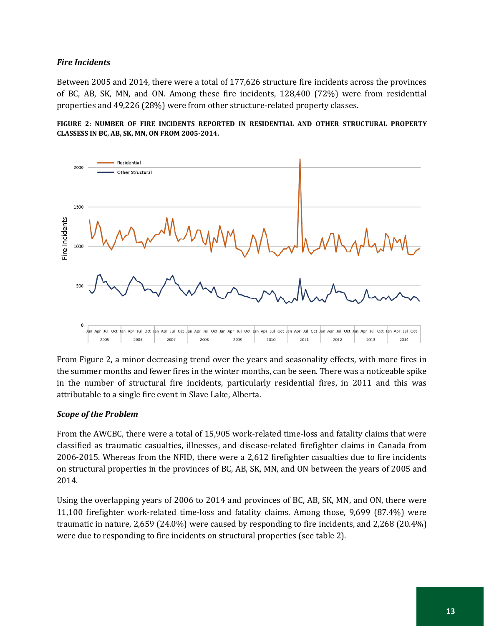### *Fire Incidents*

Between 2005 and 2014, there were a total of 177,626 structure fire incidents across the provinces of BC, AB, SK, MN, and ON. Among these fire incidents, 128,400 (72%) were from residential properties and 49,226 (28%) were from other structure-related property classes.





From Figure 2, a minor decreasing trend over the years and seasonality effects, with more fires in the summer months and fewer fires in the winter months, can be seen. There was a noticeable spike in the number of structural fire incidents, particularly residential fires, in 2011 and this was attributable to a single fire event in Slave Lake, Alberta.

#### *Scope of the Problem*

From the AWCBC, there were a total of 15,905 work-related time-loss and fatality claims that were classified as traumatic casualties, illnesses, and disease-related firefighter claims in Canada from 2006-2015. Whereas from the NFID, there were a 2,612 firefighter casualties due to fire incidents on structural properties in the provinces of BC, AB, SK, MN, and ON between the years of 2005 and 2014.

Using the overlapping years of 2006 to 2014 and provinces of BC, AB, SK, MN, and ON, there were 11,100 firefighter work-related time-loss and fatality claims. Among those, 9,699 (87.4%) were traumatic in nature, 2,659 (24.0%) were caused by responding to fire incidents, and 2,268 (20.4%) were due to responding to fire incidents on structural properties (see table 2).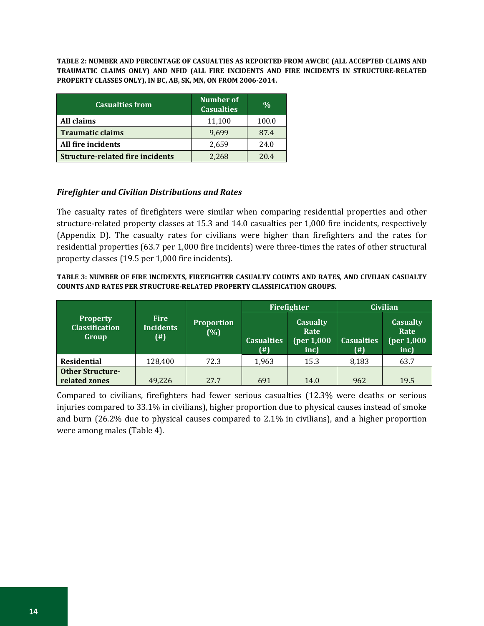**TABLE 2: NUMBER AND PERCENTAGE OF CASUALTIES AS REPORTED FROM AWCBC (ALL ACCEPTED CLAIMS AND TRAUMATIC CLAIMS ONLY) AND NFID (ALL FIRE INCIDENTS AND FIRE INCIDENTS IN STRUCTURE-RELATED PROPERTY CLASSES ONLY), IN BC, AB, SK, MN, ON FROM 2006-2014.**

| <b>Casualties from</b>                  | Number of<br><b>Casualties</b> | $\frac{0}{0}$ |
|-----------------------------------------|--------------------------------|---------------|
| All claims                              | 11,100                         | 100.0         |
| <b>Traumatic claims</b>                 | 9,699                          | 87.4          |
| All fire incidents                      | 2,659                          | 24.0          |
| <b>Structure-related fire incidents</b> | 2,268                          | 204           |

#### *Firefighter and Civilian Distributions and Rates*

The casualty rates of firefighters were similar when comparing residential properties and other structure-related property classes at 15.3 and 14.0 casualties per 1,000 fire incidents, respectively (Appendix D). The casualty rates for civilians were higher than firefighters and the rates for residential properties (63.7 per 1,000 fire incidents) were three-times the rates of other structural property classes (19.5 per 1,000 fire incidents).

#### **TABLE 3: NUMBER OF FIRE INCIDENTS, FIREFIGHTER CASUALTY COUNTS AND RATES, AND CIVILIAN CASUALTY COUNTS AND RATES PER STRUCTURE-RELATED PROPERTY CLASSIFICATION GROUPS.**

|                                                   |                                              |                          |                                | Firefighter                                   | <b>Civilian</b>          |                                               |  |
|---------------------------------------------------|----------------------------------------------|--------------------------|--------------------------------|-----------------------------------------------|--------------------------|-----------------------------------------------|--|
| <b>Property</b><br><b>Classification</b><br>Group | <b>Fire</b><br><b>Incidents</b><br>$($ # $)$ | <b>Proportion</b><br>(%) | <b>Casualties</b><br>$^{(\#)}$ | <b>Casualty</b><br>Rate<br>(per 1,000<br>inc) | <b>Casualties</b><br>(#) | <b>Casualty</b><br>Rate<br>(per 1,000<br>inc) |  |
| <b>Residential</b>                                | 128,400                                      | 72.3                     | 1,963                          | 15.3                                          | 8,183                    | 63.7                                          |  |
| <b>Other Structure-</b>                           |                                              |                          |                                |                                               |                          |                                               |  |
| related zones                                     | 49,226                                       | 27.7                     | 691                            | 14.0                                          | 962                      | 19.5                                          |  |

Compared to civilians, firefighters had fewer serious casualties (12.3% were deaths or serious injuries compared to 33.1% in civilians), higher proportion due to physical causes instead of smoke and burn (26.2% due to physical causes compared to 2.1% in civilians), and a higher proportion were among males (Table 4).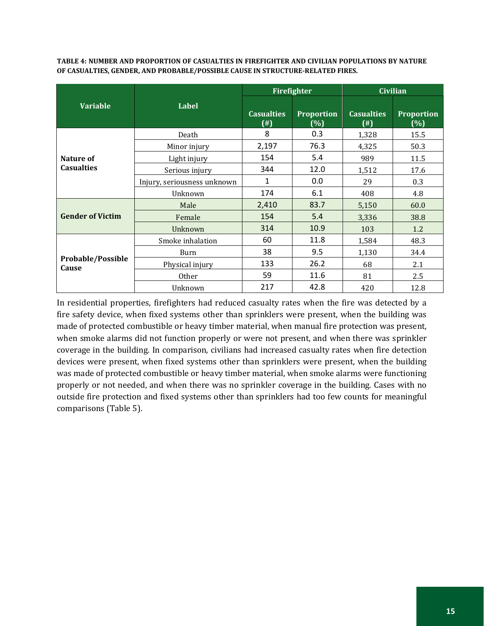**TABLE 4: NUMBER AND PROPORTION OF CASUALTIES IN FIREFIGHTER AND CIVILIAN POPULATIONS BY NATURE OF CASUALTIES, GENDER, AND PROBABLE/POSSIBLE CAUSE IN STRUCTURE-RELATED FIRES.**

|                            |                             |                                | Firefighter              | <b>Civilian</b>                |                          |  |
|----------------------------|-----------------------------|--------------------------------|--------------------------|--------------------------------|--------------------------|--|
| <b>Variable</b>            | <b>Label</b>                | <b>Casualties</b><br>$^{(\#)}$ | <b>Proportion</b><br>(%) | <b>Casualties</b><br>$($ # $)$ | <b>Proportion</b><br>(%) |  |
|                            | Death                       | 8                              | 0.3                      | 1,328                          | 15.5                     |  |
|                            | Minor injury                | 2,197                          | 76.3                     | 4,325                          | 50.3                     |  |
| Nature of                  | Light injury                | 154                            | 5.4                      | 989                            | 11.5                     |  |
| <b>Casualties</b>          | Serious injury              | 344                            | 12.0                     | 1,512                          | 17.6                     |  |
|                            | Injury, seriousness unknown | 1                              | 0.0                      | 29                             | 0.3                      |  |
|                            | Unknown                     | 174                            | 6.1                      | 408                            | 4.8                      |  |
|                            | Male                        | 2,410                          | 83.7                     | 5,150                          | 60.0                     |  |
| <b>Gender of Victim</b>    | Female                      | 154                            | 5.4                      | 3,336                          | 38.8                     |  |
|                            | Unknown                     | 314                            | 10.9                     | 103                            | 1.2                      |  |
|                            | Smoke inhalation            | 60                             | 11.8                     | 1,584                          | 48.3                     |  |
| Probable/Possible<br>Cause | Burn                        | 38                             | 9.5                      | 1,130                          | 34.4                     |  |
|                            | Physical injury             | 133                            | 26.2                     | 68                             | 2.1                      |  |
|                            | <b>Other</b>                | 59                             | 11.6                     | 81                             | 2.5                      |  |
|                            | Unknown                     | 217                            | 42.8                     | 420                            | 12.8                     |  |

In residential properties, firefighters had reduced casualty rates when the fire was detected by a fire safety device, when fixed systems other than sprinklers were present, when the building was made of protected combustible or heavy timber material, when manual fire protection was present, when smoke alarms did not function properly or were not present, and when there was sprinkler coverage in the building. In comparison, civilians had increased casualty rates when fire detection devices were present, when fixed systems other than sprinklers were present, when the building was made of protected combustible or heavy timber material, when smoke alarms were functioning properly or not needed, and when there was no sprinkler coverage in the building. Cases with no outside fire protection and fixed systems other than sprinklers had too few counts for meaningful comparisons (Table 5).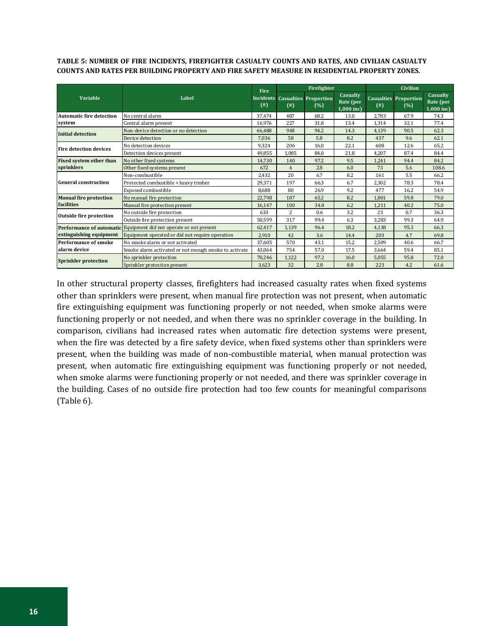**TABLE 5: NUMBER OF FIRE INCIDENTS, FIREFIGHTER CASUALTY COUNTS AND RATES, AND CIVILIAN CASUALTY COUNTS AND RATES PER BUILDING PROPERTY AND FIRE SAFETY MEASURE IN RESIDENTIAL PROPERTY ZONES.**

|                                 |                                                       | <b>Fire</b> | Firefighter    |                                               |                                       | <b>Civilian</b> |                                     |                                       |
|---------------------------------|-------------------------------------------------------|-------------|----------------|-----------------------------------------------|---------------------------------------|-----------------|-------------------------------------|---------------------------------------|
| <b>Variable</b>                 | Label                                                 | $($ # $)$   | $^{(+)}$       | <b>Incidents Casualties Proportion</b><br>(%) | Casualty<br>Rate (per<br>$1,000$ inc) | $($ # $)$       | <b>Casualties Proportion</b><br>(%) | Casualty<br>Rate (per<br>$1,000$ inc) |
| <b>Automatic fire detection</b> | No central alarm                                      | 37.474      | 487            | 68.2                                          | 13.0                                  | 2.783           | 67.9                                | 74.3                                  |
| system                          | Central alarm present                                 | 16,976      | 227            | 31.8                                          | 13.4                                  | 1,314           | 32.1                                | 77.4                                  |
| Initial detection               | Non-device detection or no detection                  | 66.488      | 948            | 94.2                                          | 14.3                                  | 4,139           | 90.5                                | 62.3                                  |
|                                 | Device detection                                      | 7,036       | 58             | 5.8                                           | 8.2                                   | 437             | 9.6                                 | 62.1                                  |
| <b>Fire detection devices</b>   | No detection devices                                  | 9.324       | 206            | 16.0                                          | 22.1                                  | 608             | 12.6                                | 65.2                                  |
|                                 | Detection devices present                             | 49,855      | 1,085          | 84.0                                          | 21.8                                  | 4,207           | 87.4                                | 84.4                                  |
| <b>Fixed system other than</b>  | No other fixed systems                                | 14.730      | 140            | 97.2                                          | 9.5                                   | 1,241           | 94.4                                | 84.2                                  |
| sprinklers                      | Other fixed systems present                           | 672         | $\overline{4}$ | 2.8                                           | 6.0                                   | 73              | 5.6                                 | 108.6                                 |
|                                 | Non-combustible                                       | 2.432       | 20             | 6.7                                           | 8.2                                   | 161             | 5.5                                 | 66.2                                  |
| <b>General construction</b>     | Protected combustible + heavy timber                  | 29,371      | 197            | 66.3                                          | 6.7                                   | 2,302           | 78.3                                | 78.4                                  |
|                                 | Exposed combustible                                   | 8.688       | 80             | 26.9                                          | 9.2                                   | 477             | 16.2                                | 54.9                                  |
| <b>Manual fire protection</b>   | No manual fire protection                             | 22,798      | 187            | 65.2                                          | 8.2                                   | 1,801           | 59.8                                | 79.0                                  |
| facilities                      | Manual fire protection present                        | 16,147      | 100            | 34.8                                          | 6.2                                   | 1,211           | 40.2                                | 75.0                                  |
| <b>Outside fire protection</b>  | No outside fire protection                            | 633         | $\overline{2}$ | 0.6                                           | 3.2                                   | 23              | 0.7                                 | 36.3                                  |
|                                 | Outside fire protection present                       | 50,599      | 317            | 99.4                                          | 6.3                                   | 3,283           | 99.3                                | 64.9                                  |
| Performance of automatic        | Equipment did not operate or not present              | 62,417      | 1.139          | 96.4                                          | 18.2                                  | 4,138           | 95.3                                | 66.3                                  |
| extinguishing equipment         | Equipment operated or did not require operation       | 2,910       | 42             | 3.6                                           | 14.4                                  | 203             | 4.7                                 | 69.8                                  |
| Performance of smoke            | No smoke alarm or not activated                       | 37,605      | 570            | 43.1                                          | 15.2                                  | 2,509           | 40.6                                | 66.7                                  |
| alarm device                    | Smoke alarm activated or not enough smoke to activate | 43,064      | 754            | 57.0                                          | 17.5                                  | 3,664           | 59.4                                | 85.1                                  |
| <b>Sprinkler protection</b>     | No sprinkler protection                               | 70,246      | 1,122          | 97.2                                          | 16.0                                  | 5,055           | 95.8                                | 72.0                                  |
|                                 | Sprinkler protection present                          | 3,623       | 32             | 2.8                                           | 8.8                                   | 223             | 4.2                                 | 61.6                                  |

In other structural property classes, firefighters had increased casualty rates when fixed systems other than sprinklers were present, when manual fire protection was not present, when automatic fire extinguishing equipment was functioning properly or not needed, when smoke alarms were functioning properly or not needed, and when there was no sprinkler coverage in the building. In comparison, civilians had increased rates when automatic fire detection systems were present, when the fire was detected by a fire safety device, when fixed systems other than sprinklers were present, when the building was made of non-combustible material, when manual protection was present, when automatic fire extinguishing equipment was functioning properly or not needed, when smoke alarms were functioning properly or not needed, and there was sprinkler coverage in the building. Cases of no outside fire protection had too few counts for meaningful comparisons (Table 6).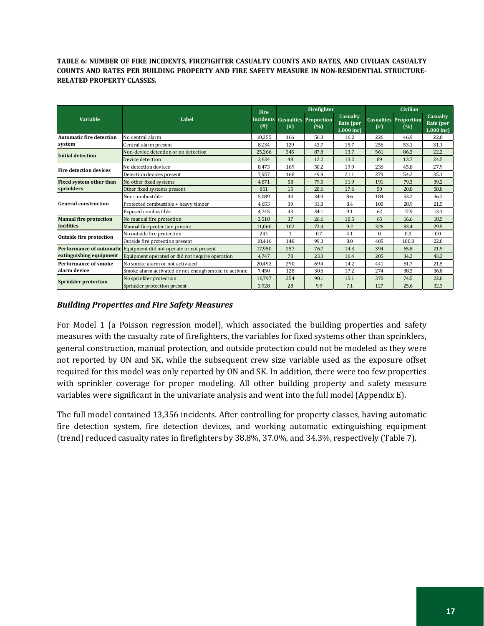**TABLE 6: NUMBER OF FIRE INCIDENTS, FIREFIGHTER CASUALTY COUNTS AND RATES, AND CIVILIAN CASUALTY COUNTS AND RATES PER BUILDING PROPERTY AND FIRE SAFETY MEASURE IN NON-RESIDENTIAL STRUCTURE-RELATED PROPERTY CLASSES.**

|                                 |                                                       | <b>Fire</b> | Firefighter  |                                               |                                       | <b>Civilian</b> |                                     |                                     |
|---------------------------------|-------------------------------------------------------|-------------|--------------|-----------------------------------------------|---------------------------------------|-----------------|-------------------------------------|-------------------------------------|
| <b>Variable</b>                 | Label                                                 | $($ # $)$   | $($ # $)$    | <b>Incidents Casualties Proportion</b><br>(%) | Casualty<br>Rate (per<br>$1,000$ inc) | $($ # $)$       | <b>Casualties Proportion</b><br>(%) | Casualty<br>Rate (per<br>1,000 inc) |
| <b>Automatic fire detection</b> | No central alarm                                      | 10.255      | 166          | 56.3                                          | 16.2                                  | 226             | 46.9                                | 22.0                                |
| system                          | Central alarm present                                 | 8.234       | 129          | 43.7                                          | 15.7                                  | 256             | 53.1                                | 31.1                                |
| <b>Initial detection</b>        | Non-device detection or no detection                  | 25,266      | 345          | 87.8                                          | 13.7                                  | 561             | 86.3                                | 22.2                                |
|                                 | Device detection                                      | 3.634       | 48           | 12.2                                          | 13.2                                  | 89              | 13.7                                | 24.5                                |
| <b>Fire detection devices</b>   | No detection devices                                  | 8.473       | 169          | 50.2                                          | 19.9                                  | 236             | 45.8                                | 27.9                                |
|                                 | Detection devices present                             | 7,957       | 168          | 49.9                                          | 21.1                                  | 279             | 54.2                                | 35.1                                |
| Fixed system other than         | No other fixed systems                                | 4.871       | 58           | 79.5                                          | 11.9                                  | 191             | 79.3                                | 39.2                                |
| sprinklers                      | Other fixed systems present                           | 851         | 15           | 20.6                                          | 17.6                                  | 50              | 20.8                                | 58.8                                |
|                                 | Non-combustible                                       | 5.089       | 44           | 34.9                                          | 8.6                                   | 184             | 53.2                                | 36.2                                |
| <b>General construction</b>     | Protected combustible + heavy timber                  | 4.653       | 39           | 31.0                                          | 8.4                                   | 100             | 28.9                                | 21.5                                |
|                                 | Exposed combustible                                   | 4,745       | 43           | 34.1                                          | 9.1                                   | 62              | 17.9                                | 13.1                                |
| <b>Manual fire protection</b>   | No manual fire protection                             | 3,518       | 37           | 26.6                                          | 10.5                                  | 65              | 16.6                                | 18.5                                |
| facilities                      | Manual fire protection present                        | 11,060      | 102          | 73.4                                          | 9.2                                   | 326             | 83.4                                | 29.5                                |
| <b>Outside fire protection</b>  | No outside fire protection                            | 241         | $\mathbf{1}$ | 0.7                                           | 4.1                                   | $\Omega$        | 0.0                                 | 0.0                                 |
|                                 | Outside fire protection present                       | 18,416      | 148          | 99.3                                          | 8.0                                   | 405             | 100.0                               | 22.0                                |
| <b>Performance of automatic</b> | Equipment did not operate or not present              | 17,950      | 257          | 76.7                                          | 14.3                                  | 394             | 65.8                                | 21.9                                |
| extinguishing equipment         | Equipment operated or did not require operation       | 4.747       | 78           | 23.3                                          | 16.4                                  | 205             | 34.2                                | 43.2                                |
| <b>Performance of smoke</b>     | No smoke alarm or not activated                       | 20,492      | 290          | 69.4                                          | 14.2                                  | 441             | 61.7                                | 21.5                                |
| alarm device                    | Smoke alarm activated or not enough smoke to activate | 7,450       | 128          | 30.6                                          | 17.2                                  | 274             | 38.3                                | 36.8                                |
| <b>Sprinkler protection</b>     | No sprinkler protection                               | 16,797      | 254          | 90.1                                          | 15.1                                  | 370             | 74.5                                | 22.0                                |
|                                 | Sprinkler protection present                          | 3,928       | 28           | 9.9                                           | 7.1                                   | 127             | 25.6                                | 32.3                                |

# *Building Properties and Fire Safety Measures*

For Model 1 (a Poisson regression model), which associated the building properties and safety measures with the casualty rate of firefighters, the variables for fixed systems other than sprinklers, general construction, manual protection, and outside protection could not be modeled as they were not reported by ON and SK, while the subsequent crew size variable used as the exposure offset required for this model was only reported by ON and SK. In addition, there were too few properties with sprinkler coverage for proper modeling. All other building property and safety measure variables were significant in the univariate analysis and went into the full model (Appendix E).

The full model contained 13,356 incidents. After controlling for property classes, having automatic fire detection system, fire detection devices, and working automatic extinguishing equipment (trend) reduced casualty rates in firefighters by 38.8%, 37.0%, and 34.3%, respectively (Table 7).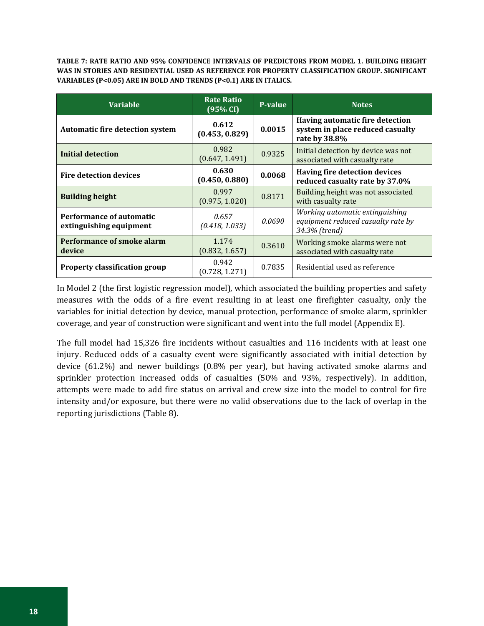**TABLE 7: RATE RATIO AND 95% CONFIDENCE INTERVALS OF PREDICTORS FROM MODEL 1. BUILDING HEIGHT WAS IN STORIES AND RESIDENTIAL USED AS REFERENCE FOR PROPERTY CLASSIFICATION GROUP. SIGNIFICANT VARIABLES (P<0.05) ARE IN BOLD AND TRENDS (P<0.1) ARE IN ITALICS.** 

| <b>Variable</b>                                     | <b>Rate Ratio</b><br>(95% CI) | <b>P-value</b> | <b>Notes</b>                                                                           |
|-----------------------------------------------------|-------------------------------|----------------|----------------------------------------------------------------------------------------|
| <b>Automatic fire detection system</b>              | 0.612<br>(0.453, 0.829)       | 0.0015         | Having automatic fire detection<br>system in place reduced casualty<br>rate by 38.8%   |
| Initial detection                                   | 0.982<br>(0.647, 1.491)       | 0.9325         | Initial detection by device was not<br>associated with casualty rate                   |
| <b>Fire detection devices</b>                       | 0.630<br>(0.450, 0.880)       | 0.0068         | Having fire detection devices<br>reduced casualty rate by 37.0%                        |
| <b>Building height</b>                              | 0.997<br>(0.975, 1.020)       | 0.8171         | Building height was not associated<br>with casualty rate                               |
| Performance of automatic<br>extinguishing equipment | 0.657<br>(0.418, 1.033)       | 0.0690         | Working automatic extinguishing<br>equipment reduced casualty rate by<br>34.3% (trend) |
| <b>Performance of smoke alarm</b><br>device         | 1.174<br>(0.832, 1.657)       | 0.3610         | Working smoke alarms were not<br>associated with casualty rate                         |
| <b>Property classification group</b>                | 0.942<br>(0.728, 1.271)       | 0.7835         | Residential used as reference                                                          |

In Model 2 (the first logistic regression model), which associated the building properties and safety measures with the odds of a fire event resulting in at least one firefighter casualty, only the variables for initial detection by device, manual protection, performance of smoke alarm, sprinkler coverage, and year of construction were significant and went into the full model (Appendix E).

The full model had 15,326 fire incidents without casualties and 116 incidents with at least one injury. Reduced odds of a casualty event were significantly associated with initial detection by device (61.2%) and newer buildings (0.8% per year), but having activated smoke alarms and sprinkler protection increased odds of casualties (50% and 93%, respectively). In addition, attempts were made to add fire status on arrival and crew size into the model to control for fire intensity and/or exposure, but there were no valid observations due to the lack of overlap in the reporting jurisdictions (Table 8).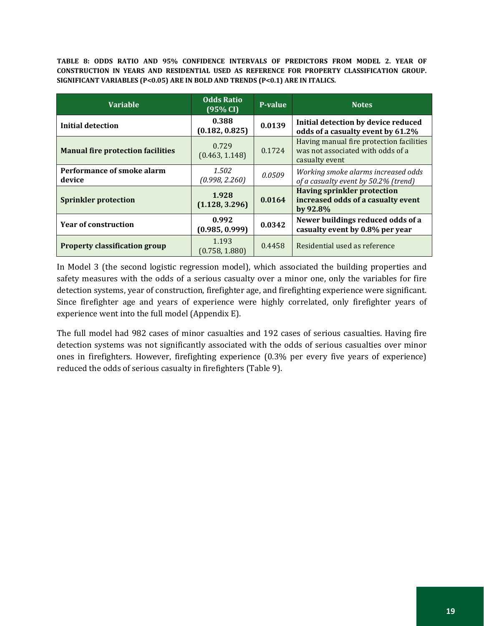**TABLE 8: ODDS RATIO AND 95% CONFIDENCE INTERVALS OF PREDICTORS FROM MODEL 2. YEAR OF CONSTRUCTION IN YEARS AND RESIDENTIAL USED AS REFERENCE FOR PROPERTY CLASSIFICATION GROUP. SIGNIFICANT VARIABLES (P<0.05) ARE IN BOLD AND TRENDS (P<0.1) ARE IN ITALICS.**

| <b>Variable</b>                          | <b>Odds Ratio</b><br>$(95\% \text{ CI})$ | <b>P-value</b> | <b>Notes</b>                                                                                    |
|------------------------------------------|------------------------------------------|----------------|-------------------------------------------------------------------------------------------------|
| <b>Initial detection</b>                 | 0.388<br>(0.182, 0.825)                  | 0.0139         | Initial detection by device reduced<br>odds of a casualty event by 61.2%                        |
| <b>Manual fire protection facilities</b> | 0.729<br>(0.463, 1.148)                  | 0.1724         | Having manual fire protection facilities<br>was not associated with odds of a<br>casualty event |
| Performance of smoke alarm<br>device     | 1.502<br>(0.998, 2.260)                  | 0.0509         | Working smoke alarms increased odds<br>of a casualty event by 50.2% (trend)                     |
| <b>Sprinkler protection</b>              | 1.928<br>(1.128, 3.296)                  | 0.0164         | <b>Having sprinkler protection</b><br>increased odds of a casualty event<br>by 92.8%            |
| <b>Year of construction</b>              | 0.992<br>(0.985, 0.999)                  | 0.0342         | Newer buildings reduced odds of a<br>casualty event by 0.8% per year                            |
| <b>Property classification group</b>     | 1.193<br>(0.758, 1.880)                  | 0.4458         | Residential used as reference                                                                   |

In Model 3 (the second logistic regression model), which associated the building properties and safety measures with the odds of a serious casualty over a minor one, only the variables for fire detection systems, year of construction, firefighter age, and firefighting experience were significant. Since firefighter age and years of experience were highly correlated, only firefighter years of experience went into the full model (Appendix E).

The full model had 982 cases of minor casualties and 192 cases of serious casualties. Having fire detection systems was not significantly associated with the odds of serious casualties over minor ones in firefighters. However, firefighting experience (0.3% per every five years of experience) reduced the odds of serious casualty in firefighters (Table 9).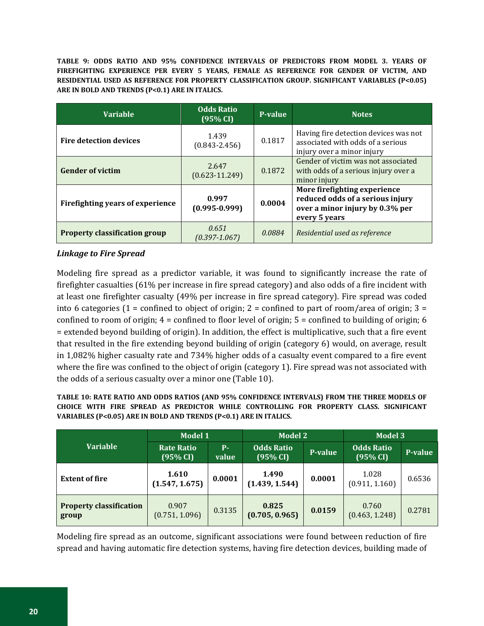**TABLE 9: ODDS RATIO AND 95% CONFIDENCE INTERVALS OF PREDICTORS FROM MODEL 3. YEARS OF FIREFIGHTING EXPERIENCE PER EVERY 5 YEARS, FEMALE AS REFERENCE FOR GENDER OF VICTIM, AND RESIDENTIAL USED AS REFERENCE FOR PROPERTY CLASSIFICATION GROUP. SIGNIFICANT VARIABLES (P<0.05) ARE IN BOLD AND TRENDS (P<0.1) ARE IN ITALICS.**

| <b>Variable</b>                      | <b>Odds Ratio</b><br>(95% CI) | <b>P-value</b> | <b>Notes</b>                                                                                                         |
|--------------------------------------|-------------------------------|----------------|----------------------------------------------------------------------------------------------------------------------|
| <b>Fire detection devices</b>        | 1.439<br>$(0.843 - 2.456)$    | 0.1817         | Having fire detection devices was not<br>associated with odds of a serious<br>injury over a minor injury             |
| <b>Gender of victim</b>              | 2.647<br>$(0.623 - 11.249)$   | 0.1872         | Gender of victim was not associated<br>with odds of a serious injury over a<br>minor injury                          |
| Firefighting years of experience     | 0.997<br>$(0.995 - 0.999)$    | 0.0004         | More firefighting experience<br>reduced odds of a serious injury<br>over a minor injury by 0.3% per<br>every 5 years |
| <b>Property classification group</b> | 0.651<br>$(0.397 - 1.067)$    | 0.0884         | Residential used as reference                                                                                        |

# *Linkage to Fire Spread*

Modeling fire spread as a predictor variable, it was found to significantly increase the rate of firefighter casualties (61% per increase in fire spread category) and also odds of a fire incident with at least one firefighter casualty (49% per increase in fire spread category). Fire spread was coded into 6 categories (1 = confined to object of origin; 2 = confined to part of room/area of origin; 3 = confined to room of origin;  $4 =$  confined to floor level of origin;  $5 =$  confined to building of origin; 6 = extended beyond building of origin). In addition, the effect is multiplicative, such that a fire event that resulted in the fire extending beyond building of origin (category 6) would, on average, result in 1,082% higher casualty rate and 734% higher odds of a casualty event compared to a fire event where the fire was confined to the object of origin (category 1). Fire spread was not associated with the odds of a serious casualty over a minor one (Table 10).

**TABLE 10: RATE RATIO AND ODDS RATIOS (AND 95% CONFIDENCE INTERVALS) FROM THE THREE MODELS OF CHOICE WITH FIRE SPREAD AS PREDICTOR WHILE CONTROLLING FOR PROPERTY CLASS. SIGNIFICANT VARIABLES (P<0.05) ARE IN BOLD AND TRENDS (P<0.1) ARE IN ITALICS.**

|                                         | Model 1                       |                     | <b>Model 2</b>                |         | Model 3                       |         |
|-----------------------------------------|-------------------------------|---------------------|-------------------------------|---------|-------------------------------|---------|
| <b>Variable</b>                         | <b>Rate Ratio</b><br>(95% CI) | <b>P</b> -<br>value | <b>Odds Ratio</b><br>(95% CI) | P-value | <b>Odds Ratio</b><br>(95% CI) | P-value |
| <b>Extent of fire</b>                   | 1.610<br>(1.547, 1.675)       | 0.0001              | 1.490<br>(1.439, 1.544)       | 0.0001  | 1.028<br>(0.911, 1.160)       | 0.6536  |
| <b>Property classification</b><br>group | 0.907<br>(0.751, 1.096)       | 0.3135              | 0.825<br>(0.705, 0.965)       | 0.0159  | 0.760<br>(0.463, 1.248)       | 0.2781  |

Modeling fire spread as an outcome, significant associations were found between reduction of fire spread and having automatic fire detection systems, having fire detection devices, building made of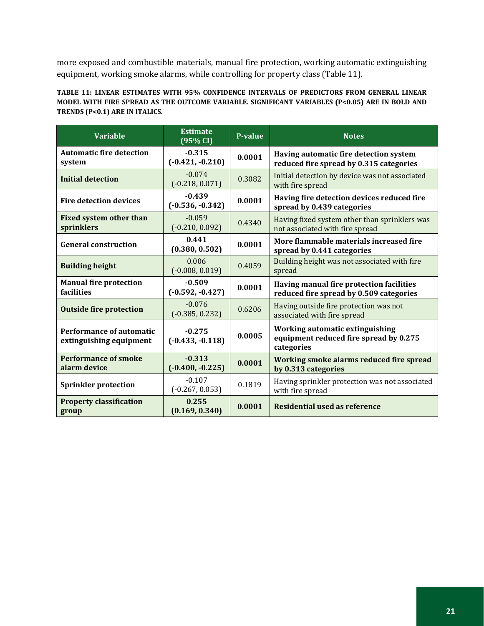more exposed and combustible materials, manual fire protection, working automatic extinguishing equipment, working smoke alarms, while controlling for property class (Table 11).

#### **TABLE 11: LINEAR ESTIMATES WITH 95% CONFIDENCE INTERVALS OF PREDICTORS FROM GENERAL LINEAR MODEL WITH FIRE SPREAD AS THE OUTCOME VARIABLE. SIGNIFICANT VARIABLES (P<0.05) ARE IN BOLD AND TRENDS (P<0.1) ARE IN ITALICS.**

| <b>Variable</b>                                            | <b>Estimate</b><br>(95% CI)    | <b>P-value</b> | <b>Notes</b>                                                                                   |
|------------------------------------------------------------|--------------------------------|----------------|------------------------------------------------------------------------------------------------|
| <b>Automatic fire detection</b><br>system                  | $-0.315$<br>$(-0.421,-0.210)$  | 0.0001         | Having automatic fire detection system<br>reduced fire spread by 0.315 categories              |
| <b>Initial detection</b>                                   | $-0.074$<br>$(-0.218, 0.071)$  | 0.3082         | Initial detection by device was not associated<br>with fire spread                             |
| <b>Fire detection devices</b>                              | $-0.439$<br>$(-0.536, -0.342)$ | 0.0001         | Having fire detection devices reduced fire<br>spread by 0.439 categories                       |
| <b>Fixed system other than</b><br>sprinklers               | $-0.059$<br>$(-0.210, 0.092)$  | 0.4340         | Having fixed system other than sprinklers was<br>not associated with fire spread               |
| <b>General construction</b>                                | 0.441<br>(0.380, 0.502)        | 0.0001         | More flammable materials increased fire<br>spread by 0.441 categories                          |
| <b>Building height</b>                                     | 0.006<br>$(-0.008, 0.019)$     | 0.4059         | Building height was not associated with fire<br>spread                                         |
| <b>Manual fire protection</b><br><b>facilities</b>         | $-0.509$<br>$(-0.592, -0.427)$ | 0.0001         | Having manual fire protection facilities<br>reduced fire spread by 0.509 categories            |
| <b>Outside fire protection</b>                             | $-0.076$<br>$(-0.385, 0.232)$  | 0.6206         | Having outside fire protection was not<br>associated with fire spread                          |
| <b>Performance of automatic</b><br>extinguishing equipment | $-0.275$<br>$(-0.433,-0.118)$  | 0.0005         | <b>Working automatic extinguishing</b><br>equipment reduced fire spread by 0.275<br>categories |
| <b>Performance of smoke</b><br>alarm device                | $-0.313$<br>$(-0.400,-0.225)$  | 0.0001         | Working smoke alarms reduced fire spread<br>by 0.313 categories                                |
| <b>Sprinkler protection</b>                                | $-0.107$<br>$(-0.267, 0.053)$  | 0.1819         | Having sprinkler protection was not associated<br>with fire spread                             |
| <b>Property classification</b><br>group                    | 0.255<br>(0.169, 0.340)        | 0.0001         | Residential used as reference                                                                  |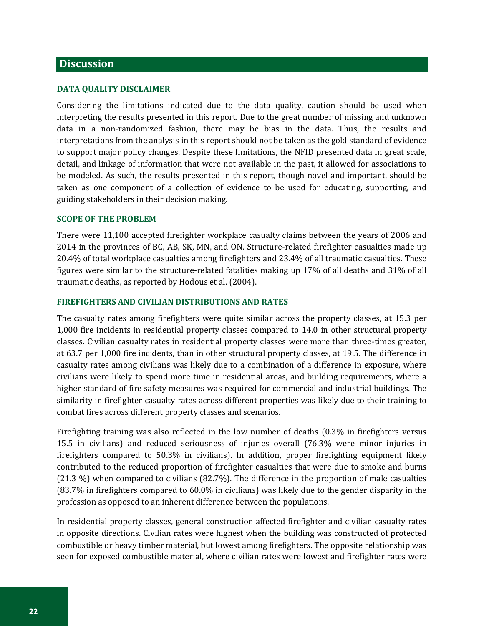### <span id="page-25-0"></span>**Discussion**

#### <span id="page-25-1"></span>**DATA QUALITY DISCLAIMER**

Considering the limitations indicated due to the data quality, caution should be used when interpreting the results presented in this report. Due to the great number of missing and unknown data in a non-randomized fashion, there may be bias in the data. Thus, the results and interpretations from the analysis in this report should not be taken as the gold standard of evidence to support major policy changes. Despite these limitations, the NFID presented data in great scale, detail, and linkage of information that were not available in the past, it allowed for associations to be modeled. As such, the results presented in this report, though novel and important, should be taken as one component of a collection of evidence to be used for educating, supporting, and guiding stakeholders in their decision making.

#### <span id="page-25-2"></span>**SCOPE OF THE PROBLEM**

There were 11,100 accepted firefighter workplace casualty claims between the years of 2006 and 2014 in the provinces of BC, AB, SK, MN, and ON. Structure-related firefighter casualties made up 20.4% of total workplace casualties among firefighters and 23.4% of all traumatic casualties. These figures were similar to the structure-related fatalities making up 17% of all deaths and 31% of all traumatic deaths, as reported by Hodous et al. (2004).

#### <span id="page-25-3"></span>**FIREFIGHTERS AND CIVILIAN DISTRIBUTIONS AND RATES**

The casualty rates among firefighters were quite similar across the property classes, at 15.3 per 1,000 fire incidents in residential property classes compared to 14.0 in other structural property classes. Civilian casualty rates in residential property classes were more than three-times greater, at 63.7 per 1,000 fire incidents, than in other structural property classes, at 19.5. The difference in casualty rates among civilians was likely due to a combination of a difference in exposure, where civilians were likely to spend more time in residential areas, and building requirements, where a higher standard of fire safety measures was required for commercial and industrial buildings. The similarity in firefighter casualty rates across different properties was likely due to their training to combat fires across different property classes and scenarios.

Firefighting training was also reflected in the low number of deaths (0.3% in firefighters versus 15.5 in civilians) and reduced seriousness of injuries overall (76.3% were minor injuries in firefighters compared to 50.3% in civilians). In addition, proper firefighting equipment likely contributed to the reduced proportion of firefighter casualties that were due to smoke and burns (21.3 %) when compared to civilians (82.7%). The difference in the proportion of male casualties (83.7% in firefighters compared to 60.0% in civilians) was likely due to the gender disparity in the profession as opposed to an inherent difference between the populations.

In residential property classes, general construction affected firefighter and civilian casualty rates in opposite directions. Civilian rates were highest when the building was constructed of protected combustible or heavy timber material, but lowest among firefighters. The opposite relationship was seen for exposed combustible material, where civilian rates were lowest and firefighter rates were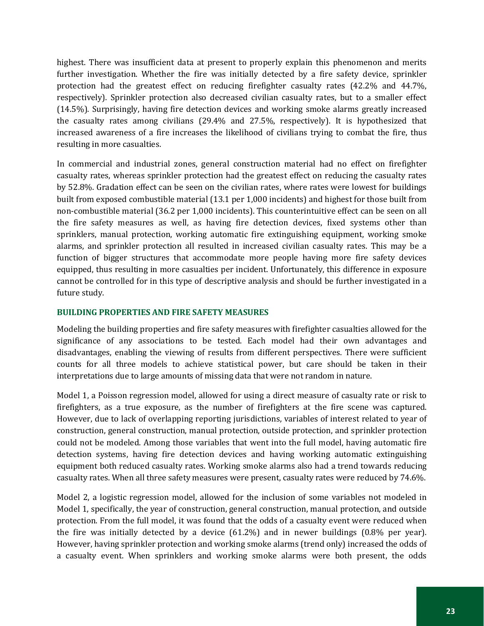highest. There was insufficient data at present to properly explain this phenomenon and merits further investigation. Whether the fire was initially detected by a fire safety device, sprinkler protection had the greatest effect on reducing firefighter casualty rates (42.2% and 44.7%, respectively). Sprinkler protection also decreased civilian casualty rates, but to a smaller effect (14.5%). Surprisingly, having fire detection devices and working smoke alarms greatly increased the casualty rates among civilians (29.4% and 27.5%, respectively). It is hypothesized that increased awareness of a fire increases the likelihood of civilians trying to combat the fire, thus resulting in more casualties.

In commercial and industrial zones, general construction material had no effect on firefighter casualty rates, whereas sprinkler protection had the greatest effect on reducing the casualty rates by 52.8%. Gradation effect can be seen on the civilian rates, where rates were lowest for buildings built from exposed combustible material (13.1 per 1,000 incidents) and highest for those built from non-combustible material (36.2 per 1,000 incidents). This counterintuitive effect can be seen on all the fire safety measures as well, as having fire detection devices, fixed systems other than sprinklers, manual protection, working automatic fire extinguishing equipment, working smoke alarms, and sprinkler protection all resulted in increased civilian casualty rates. This may be a function of bigger structures that accommodate more people having more fire safety devices equipped, thus resulting in more casualties per incident. Unfortunately, this difference in exposure cannot be controlled for in this type of descriptive analysis and should be further investigated in a future study.

#### <span id="page-26-0"></span>**BUILDING PROPERTIES AND FIRE SAFETY MEASURES**

Modeling the building properties and fire safety measures with firefighter casualties allowed for the significance of any associations to be tested. Each model had their own advantages and disadvantages, enabling the viewing of results from different perspectives. There were sufficient counts for all three models to achieve statistical power, but care should be taken in their interpretations due to large amounts of missing data that were not random in nature.

Model 1, a Poisson regression model, allowed for using a direct measure of casualty rate or risk to firefighters, as a true exposure, as the number of firefighters at the fire scene was captured. However, due to lack of overlapping reporting jurisdictions, variables of interest related to year of construction, general construction, manual protection, outside protection, and sprinkler protection could not be modeled. Among those variables that went into the full model, having automatic fire detection systems, having fire detection devices and having working automatic extinguishing equipment both reduced casualty rates. Working smoke alarms also had a trend towards reducing casualty rates. When all three safety measures were present, casualty rates were reduced by 74.6%.

Model 2, a logistic regression model, allowed for the inclusion of some variables not modeled in Model 1, specifically, the year of construction, general construction, manual protection, and outside protection. From the full model, it was found that the odds of a casualty event were reduced when the fire was initially detected by a device (61.2%) and in newer buildings (0.8% per year). However, having sprinkler protection and working smoke alarms (trend only) increased the odds of a casualty event. When sprinklers and working smoke alarms were both present, the odds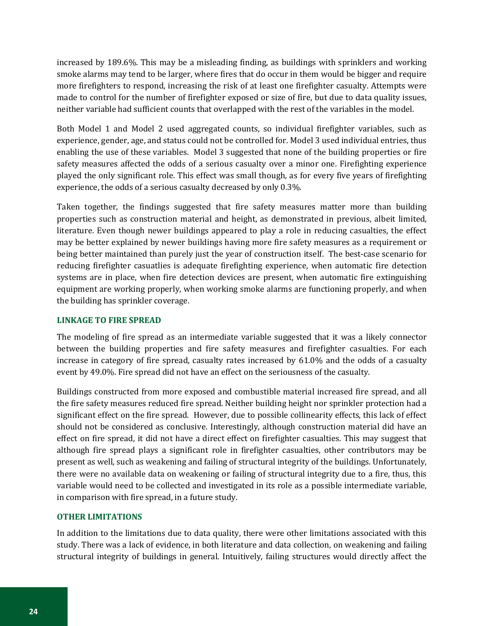increased by 189.6%. This may be a misleading finding, as buildings with sprinklers and working smoke alarms may tend to be larger, where fires that do occur in them would be bigger and require more firefighters to respond, increasing the risk of at least one firefighter casualty. Attempts were made to control for the number of firefighter exposed or size of fire, but due to data quality issues, neither variable had sufficient counts that overlapped with the rest of the variables in the model.

Both Model 1 and Model 2 used aggregated counts, so individual firefighter variables, such as experience, gender, age, and status could not be controlled for. Model 3 used individual entries, thus enabling the use of these variables. Model 3 suggested that none of the building properties or fire safety measures affected the odds of a serious casualty over a minor one. Firefighting experience played the only significant role. This effect was small though, as for every five years of firefighting experience, the odds of a serious casualty decreased by only 0.3%.

Taken together, the findings suggested that fire safety measures matter more than building properties such as construction material and height, as demonstrated in previous, albeit limited, literature. Even though newer buildings appeared to play a role in reducing casualties, the effect may be better explained by newer buildings having more fire safety measures as a requirement or being better maintained than purely just the year of construction itself. The best-case scenario for reducing firefighter casuatlies is adequate firefighting experience, when automatic fire detection systems are in place, when fire detection devices are present, when automatic fire extinguishing equipment are working properly, when working smoke alarms are functioning properly, and when the building has sprinkler coverage.

#### <span id="page-27-0"></span>**LINKAGE TO FIRE SPREAD**

The modeling of fire spread as an intermediate variable suggested that it was a likely connector between the building properties and fire safety measures and firefighter casualties. For each increase in category of fire spread, casualty rates increased by 61.0% and the odds of a casualty event by 49.0%. Fire spread did not have an effect on the seriousness of the casualty.

Buildings constructed from more exposed and combustible material increased fire spread, and all the fire safety measures reduced fire spread. Neither building height nor sprinkler protection had a significant effect on the fire spread. However, due to possible collinearity effects, this lack of effect should not be considered as conclusive. Interestingly, although construction material did have an effect on fire spread, it did not have a direct effect on firefighter casualties. This may suggest that although fire spread plays a significant role in firefighter casualties, other contributors may be present as well, such as weakening and failing of structural integrity of the buildings. Unfortunately, there were no available data on weakening or failing of structural integrity due to a fire, thus, this variable would need to be collected and investigated in its role as a possible intermediate variable, in comparison with fire spread, in a future study.

#### <span id="page-27-1"></span>**OTHER LIMITATIONS**

In addition to the limitations due to data quality, there were other limitations associated with this study. There was a lack of evidence, in both literature and data collection, on weakening and failing structural integrity of buildings in general. Intuitively, failing structures would directly affect the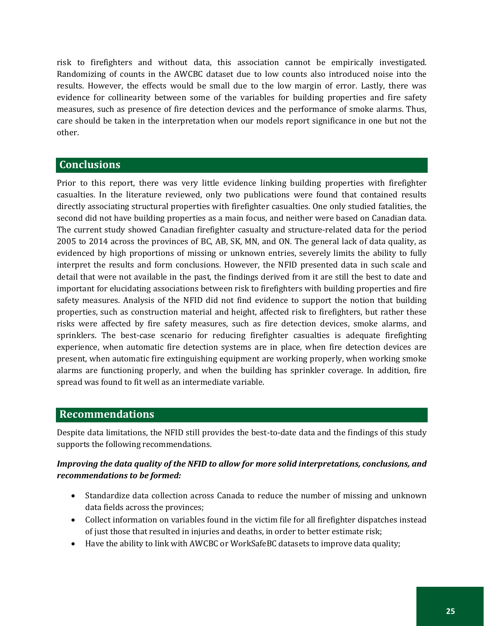risk to firefighters and without data, this association cannot be empirically investigated. Randomizing of counts in the AWCBC dataset due to low counts also introduced noise into the results. However, the effects would be small due to the low margin of error. Lastly, there was evidence for collinearity between some of the variables for building properties and fire safety measures, such as presence of fire detection devices and the performance of smoke alarms. Thus, care should be taken in the interpretation when our models report significance in one but not the other.

# <span id="page-28-0"></span>**Conclusions**

Prior to this report, there was very little evidence linking building properties with firefighter casualties. In the literature reviewed, only two publications were found that contained results directly associating structural properties with firefighter casualties. One only studied fatalities, the second did not have building properties as a main focus, and neither were based on Canadian data. The current study showed Canadian firefighter casualty and structure-related data for the period 2005 to 2014 across the provinces of BC, AB, SK, MN, and ON. The general lack of data quality, as evidenced by high proportions of missing or unknown entries, severely limits the ability to fully interpret the results and form conclusions. However, the NFID presented data in such scale and detail that were not available in the past, the findings derived from it are still the best to date and important for elucidating associations between risk to firefighters with building properties and fire safety measures. Analysis of the NFID did not find evidence to support the notion that building properties, such as construction material and height, affected risk to firefighters, but rather these risks were affected by fire safety measures, such as fire detection devices, smoke alarms, and sprinklers. The best-case scenario for reducing firefighter casualties is adequate firefighting experience, when automatic fire detection systems are in place, when fire detection devices are present, when automatic fire extinguishing equipment are working properly, when working smoke alarms are functioning properly, and when the building has sprinkler coverage. In addition, fire spread was found to fit well as an intermediate variable.

# <span id="page-28-1"></span>**Recommendations**

Despite data limitations, the NFID still provides the best-to-date data and the findings of this study supports the following recommendations.

#### *Improving the data quality of the NFID to allow for more solid interpretations, conclusions, and recommendations to be formed:*

- Standardize data collection across Canada to reduce the number of missing and unknown data fields across the provinces;
- Collect information on variables found in the victim file for all firefighter dispatches instead of just those that resulted in injuries and deaths, in order to better estimate risk;
- Have the ability to link with AWCBC or WorkSafeBC datasets to improve data quality;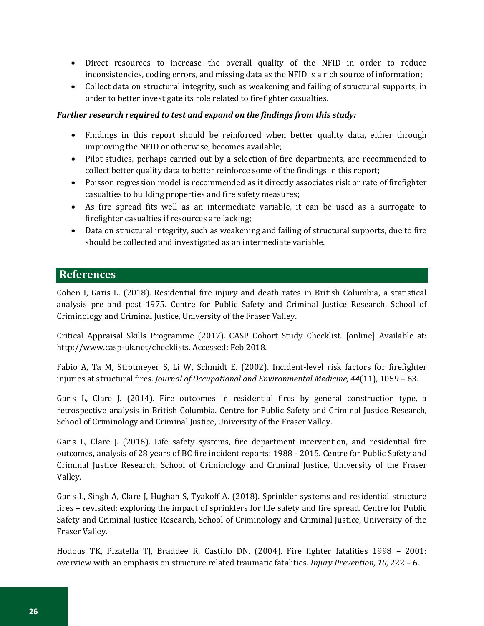- Direct resources to increase the overall quality of the NFID in order to reduce inconsistencies, coding errors, and missing data as the NFID is a rich source of information;
- Collect data on structural integrity, such as weakening and failing of structural supports, in order to better investigate its role related to firefighter casualties.

## *Further research required to test and expand on the findings from this study:*

- Findings in this report should be reinforced when better quality data, either through improving the NFID or otherwise, becomes available;
- Pilot studies, perhaps carried out by a selection of fire departments, are recommended to collect better quality data to better reinforce some of the findings in this report;
- Poisson regression model is recommended as it directly associates risk or rate of firefighter casualties to building properties and fire safety measures;
- As fire spread fits well as an intermediate variable, it can be used as a surrogate to firefighter casualties if resources are lacking;
- Data on structural integrity, such as weakening and failing of structural supports, due to fire should be collected and investigated as an intermediate variable.

# <span id="page-29-0"></span>**References**

Cohen I, Garis L. (2018). Residential fire injury and death rates in British Columbia, a statistical analysis pre and post 1975. Centre for Public Safety and Criminal Justice Research, School of Criminology and Criminal Justice, University of the Fraser Valley.

Critical Appraisal Skills Programme (2017). CASP Cohort Study Checklist. [online] Available at: http://www.casp-uk.net/checklists. Accessed: Feb 2018.

Fabio A, Ta M, Strotmeyer S, Li W, Schmidt E. (2002). Incident-level risk factors for firefighter injuries at structural fires. *Journal of Occupational and Environmental Medicine, 44*(11), 1059 – 63.

Garis L, Clare J. (2014). Fire outcomes in residential fires by general construction type, a retrospective analysis in British Columbia. Centre for Public Safety and Criminal Justice Research, School of Criminology and Criminal Justice, University of the Fraser Valley.

Garis L, Clare J. (2016). Life safety systems, fire department intervention, and residential fire outcomes, analysis of 28 years of BC fire incident reports: 1988 - 2015. Centre for Public Safety and Criminal Justice Research, School of Criminology and Criminal Justice, University of the Fraser Valley.

Garis L, Singh A, Clare J, Hughan S, Tyakoff A. (2018). Sprinkler systems and residential structure fires – revisited: exploring the impact of sprinklers for life safety and fire spread. Centre for Public Safety and Criminal Justice Research, School of Criminology and Criminal Justice, University of the Fraser Valley.

Hodous TK, Pizatella TJ, Braddee R, Castillo DN. (2004). Fire fighter fatalities 1998 – 2001: overview with an emphasis on structure related traumatic fatalities. *Injury Prevention, 10,* 222 – 6.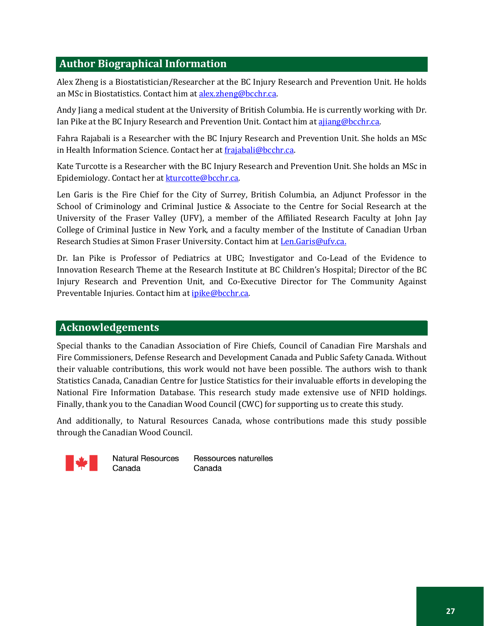# <span id="page-30-0"></span>**Author Biographical Information**

Alex Zheng is a Biostatistician/Researcher at the BC Injury Research and Prevention Unit. He holds an MSc in Biostatistics. Contact him a[t alex.zheng@bcchr.ca.](mailto:alex.zheng@bcchr.ca) 

Andy Jiang a medical student at the University of British Columbia. He is currently working with Dr. Ian Pike at the BC Injury Research and Prevention Unit. Contact him at ajjang@bcchr.ca.

Fahra Rajabali is a Researcher with the BC Injury Research and Prevention Unit. She holds an MSc in Health Information Science. Contact her at [frajabali@bcchr.ca.](mailto:frajabali@bcchr.ca)

Kate Turcotte is a Researcher with the BC Injury Research and Prevention Unit. She holds an MSc in Epidemiology. Contact her a[t kturcotte@bcchr.ca.](mailto:kturcotte@bcchr.ca)

Len Garis is the Fire Chief for the City of Surrey, British Columbia, an Adjunct Professor in the School of Criminology and Criminal Justice & Associate to the Centre for Social Research at the University of the Fraser Valley (UFV), a member of the Affiliated Research Faculty at John Jay College of Criminal Justice in New York, and a faculty member of the Institute of Canadian Urban Research Studies at Simon Fraser University. Contact him at Len.Garis@ufv.ca.

Dr. Ian Pike is Professor of Pediatrics at UBC; Investigator and Co-Lead of the Evidence to Innovation Research Theme at the Research Institute at BC Children's Hospital; Director of the BC Injury Research and Prevention Unit, and Co-Executive Director for The Community Against Preventable Injuries. Contact him at *ipike@bcchr.ca.* 

# **Acknowledgements**

Special thanks to the Canadian Association of Fire Chiefs, Council of Canadian Fire Marshals and Fire Commissioners, Defense Research and Development Canada and Public Safety Canada. Without their valuable contributions, this work would not have been possible. The authors wish to thank Statistics Canada, Canadian Centre for Justice Statistics for their invaluable efforts in developing the National Fire Information Database. This research study made extensive use of NFID holdings. Finally, thank you to the Canadian Wood Council (CWC) for supporting us to create this study.

And additionally, to Natural Resources Canada, whose contributions made this study possible through the Canadian Wood Council.



**Natural Resources** Canada

Ressources naturelles Canada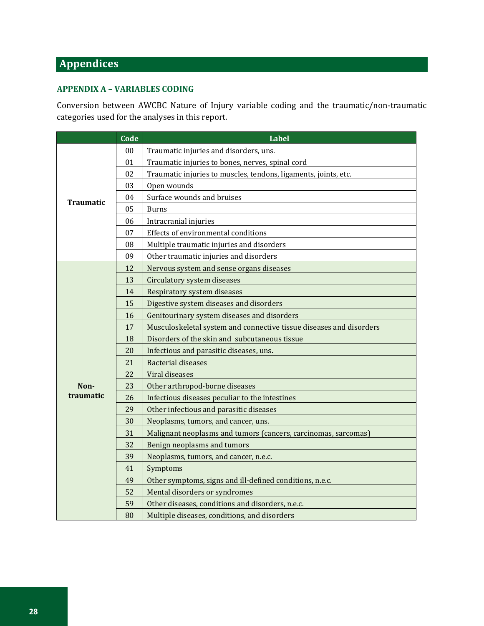# <span id="page-31-0"></span>**Appendices**

#### <span id="page-31-1"></span>**APPENDIX A – VARIABLES CODING**

Conversion between AWCBC Nature of Injury variable coding and the traumatic/non-traumatic categories used for the analyses in this report.

|           | Code | <b>Label</b>                                                        |  |  |  |  |
|-----------|------|---------------------------------------------------------------------|--|--|--|--|
|           | 00   | Traumatic injuries and disorders, uns.                              |  |  |  |  |
|           | 01   | Traumatic injuries to bones, nerves, spinal cord                    |  |  |  |  |
|           | 02   | Traumatic injuries to muscles, tendons, ligaments, joints, etc.     |  |  |  |  |
|           | 03   | Open wounds                                                         |  |  |  |  |
| Traumatic | 04   | Surface wounds and bruises                                          |  |  |  |  |
|           | 05   | <b>Burns</b>                                                        |  |  |  |  |
|           | 06   | Intracranial injuries                                               |  |  |  |  |
|           | 07   | Effects of environmental conditions                                 |  |  |  |  |
|           | 08   | Multiple traumatic injuries and disorders                           |  |  |  |  |
|           | 09   | Other traumatic injuries and disorders                              |  |  |  |  |
|           | 12   | Nervous system and sense organs diseases                            |  |  |  |  |
|           | 13   | Circulatory system diseases                                         |  |  |  |  |
|           | 14   | Respiratory system diseases                                         |  |  |  |  |
|           | 15   | Digestive system diseases and disorders                             |  |  |  |  |
|           | 16   | Genitourinary system diseases and disorders                         |  |  |  |  |
|           | 17   | Musculoskeletal system and connective tissue diseases and disorders |  |  |  |  |
|           | 18   | Disorders of the skin and subcutaneous tissue                       |  |  |  |  |
|           | 20   | Infectious and parasitic diseases, uns.                             |  |  |  |  |
|           | 21   | <b>Bacterial diseases</b>                                           |  |  |  |  |
|           | 22   | Viral diseases                                                      |  |  |  |  |
| Non-      | 23   | Other arthropod-borne diseases                                      |  |  |  |  |
| traumatic | 26   | Infectious diseases peculiar to the intestines                      |  |  |  |  |
|           | 29   | Other infectious and parasitic diseases                             |  |  |  |  |
|           | 30   | Neoplasms, tumors, and cancer, uns.                                 |  |  |  |  |
|           | 31   | Malignant neoplasms and tumors (cancers, carcinomas, sarcomas)      |  |  |  |  |
|           | 32   | Benign neoplasms and tumors                                         |  |  |  |  |
|           | 39   | Neoplasms, tumors, and cancer, n.e.c.                               |  |  |  |  |
|           | 41   | Symptoms                                                            |  |  |  |  |
|           | 49   | Other symptoms, signs and ill-defined conditions, n.e.c.            |  |  |  |  |
|           | 52   | Mental disorders or syndromes                                       |  |  |  |  |
|           | 59   | Other diseases, conditions and disorders, n.e.c.                    |  |  |  |  |
|           | 80   | Multiple diseases, conditions, and disorders                        |  |  |  |  |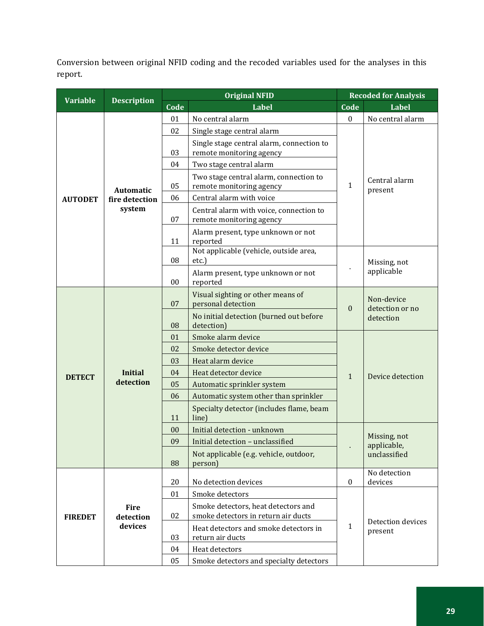Conversion between original NFID coding and the recoded variables used for the analyses in this report.

| <b>Variable</b> | <b>Description</b>          | <b>Original NFID</b>                                                        |                                                                     |                  | <b>Recoded for Analysis</b>   |  |  |
|-----------------|-----------------------------|-----------------------------------------------------------------------------|---------------------------------------------------------------------|------------------|-------------------------------|--|--|
|                 |                             | Code                                                                        | <b>Label</b>                                                        | Code             | <b>Label</b>                  |  |  |
|                 |                             | 01                                                                          | No central alarm                                                    | $\bf{0}$         | No central alarm              |  |  |
|                 |                             | 02                                                                          | Single stage central alarm                                          |                  |                               |  |  |
|                 |                             | Single stage central alarm, connection to<br>remote monitoring agency<br>03 |                                                                     |                  |                               |  |  |
|                 |                             |                                                                             |                                                                     |                  |                               |  |  |
|                 |                             | 04                                                                          | Two stage central alarm                                             |                  |                               |  |  |
|                 | <b>Automatic</b>            | 05                                                                          | Two stage central alarm, connection to<br>remote monitoring agency  | $\mathbf{1}$     | Central alarm<br>present      |  |  |
| <b>AUTODET</b>  | fire detection              | 06                                                                          | Central alarm with voice                                            |                  |                               |  |  |
|                 | system                      | 07                                                                          | Central alarm with voice, connection to<br>remote monitoring agency |                  |                               |  |  |
|                 |                             | 11                                                                          | Alarm present, type unknown or not<br>reported                      |                  |                               |  |  |
|                 |                             | 08                                                                          | Not applicable (vehicle, outside area,<br>etc.)                     |                  | Missing, not                  |  |  |
|                 |                             | 00                                                                          | Alarm present, type unknown or not<br>reported                      |                  | applicable                    |  |  |
|                 | <b>Initial</b><br>detection | 07                                                                          | Visual sighting or other means of<br>personal detection             | $\mathbf{0}$     | Non-device<br>detection or no |  |  |
|                 |                             | 08                                                                          | No initial detection (burned out before<br>detection)               |                  | detection                     |  |  |
|                 |                             | 01                                                                          | Smoke alarm device                                                  |                  |                               |  |  |
|                 |                             | 02                                                                          | Smoke detector device                                               |                  |                               |  |  |
|                 |                             | Heat alarm device<br>03                                                     |                                                                     |                  |                               |  |  |
| <b>DETECT</b>   |                             | 04                                                                          | Heat detector device                                                | $\mathbf{1}$     | Device detection              |  |  |
|                 |                             | 05                                                                          | Automatic sprinkler system                                          |                  |                               |  |  |
|                 |                             | 06                                                                          | Automatic system other than sprinkler                               |                  |                               |  |  |
|                 |                             | 11                                                                          | Specialty detector (includes flame, beam<br>line)                   |                  |                               |  |  |
|                 |                             | 00                                                                          | Initial detection - unknown                                         |                  | Missing, not                  |  |  |
|                 |                             | 09                                                                          | Initial detection - unclassified                                    | ä,               | applicable,                   |  |  |
|                 |                             | 88                                                                          | Not applicable (e.g. vehicle, outdoor,<br>person)                   |                  | unclassified                  |  |  |
|                 |                             | 20                                                                          | No detection devices                                                | $\boldsymbol{0}$ | No detection<br>devices       |  |  |
|                 |                             | 01                                                                          | Smoke detectors                                                     |                  |                               |  |  |
|                 | <b>Fire</b>                 |                                                                             | Smoke detectors, heat detectors and                                 |                  |                               |  |  |
| <b>FIREDET</b>  | detection<br>devices        | 02                                                                          | smoke detectors in return air ducts                                 | $\mathbf{1}$     | Detection devices             |  |  |
|                 |                             | 03                                                                          | Heat detectors and smoke detectors in<br>return air ducts           |                  | present                       |  |  |
|                 |                             | 04                                                                          | Heat detectors                                                      |                  |                               |  |  |
|                 |                             | 05<br>Smoke detectors and specialty detectors                               |                                                                     |                  |                               |  |  |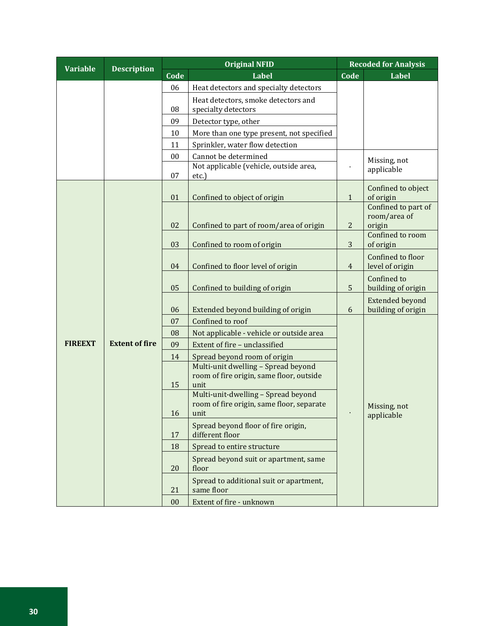| <b>Variable</b><br><b>Description</b> |                       | <b>Original NFID</b> |                                                                                 |                | <b>Recoded for Analysis</b> |  |
|---------------------------------------|-----------------------|----------------------|---------------------------------------------------------------------------------|----------------|-----------------------------|--|
|                                       |                       |                      | Label                                                                           | Code           | Label                       |  |
|                                       |                       | 06                   | Heat detectors and specialty detectors                                          |                |                             |  |
|                                       |                       |                      | Heat detectors, smoke detectors and                                             |                |                             |  |
|                                       |                       | 08                   | specialty detectors                                                             |                |                             |  |
|                                       |                       | 09                   | Detector type, other                                                            |                |                             |  |
|                                       |                       | 10                   | More than one type present, not specified                                       |                |                             |  |
|                                       |                       | 11                   | Sprinkler, water flow detection                                                 |                |                             |  |
|                                       |                       |                      | Cannot be determined                                                            |                | Missing, not                |  |
|                                       |                       | 07                   | Not applicable (vehicle, outside area,<br>etc.)                                 |                | applicable                  |  |
|                                       |                       |                      |                                                                                 |                | Confined to object          |  |
|                                       |                       | 01                   | Confined to object of origin                                                    | $\mathbf{1}$   | of origin                   |  |
|                                       |                       |                      |                                                                                 |                | Confined to part of         |  |
|                                       |                       |                      |                                                                                 |                | room/area of                |  |
|                                       |                       | 02                   | Confined to part of room/area of origin                                         | $\overline{c}$ | origin<br>Confined to room  |  |
|                                       |                       | 03                   | Confined to room of origin                                                      | 3              | of origin                   |  |
|                                       | <b>Extent of fire</b> |                      |                                                                                 |                | Confined to floor           |  |
|                                       |                       | 04                   | Confined to floor level of origin                                               | $\overline{4}$ | level of origin             |  |
|                                       |                       |                      |                                                                                 |                | Confined to                 |  |
|                                       |                       | 05                   | Confined to building of origin                                                  | 5              | building of origin          |  |
|                                       |                       |                      |                                                                                 |                | <b>Extended beyond</b>      |  |
|                                       |                       | 06                   | Extended beyond building of origin                                              | 6              | building of origin          |  |
|                                       |                       | 07                   | Confined to roof                                                                |                |                             |  |
|                                       |                       | 08                   | Not applicable - vehicle or outside area                                        |                |                             |  |
| <b>FIREEXT</b>                        |                       | 09                   | Extent of fire - unclassified                                                   |                |                             |  |
|                                       |                       | 14                   | Spread beyond room of origin                                                    |                |                             |  |
|                                       |                       |                      | Multi-unit dwelling - Spread beyond<br>room of fire origin, same floor, outside |                |                             |  |
|                                       |                       | 15                   | unit                                                                            |                |                             |  |
|                                       |                       |                      | Multi-unit-dwelling - Spread beyond                                             |                |                             |  |
|                                       |                       |                      | room of fire origin, same floor, separate                                       |                | Missing, not                |  |
|                                       |                       | 16                   | unit                                                                            |                | applicable                  |  |
|                                       |                       | 17                   | Spread beyond floor of fire origin,<br>different floor                          |                |                             |  |
|                                       |                       | 18                   | Spread to entire structure                                                      |                |                             |  |
|                                       |                       |                      | Spread beyond suit or apartment, same                                           |                |                             |  |
|                                       |                       | 20                   | floor                                                                           |                |                             |  |
|                                       |                       | 21                   | Spread to additional suit or apartment,<br>same floor                           |                |                             |  |
|                                       |                       | 00                   | Extent of fire - unknown                                                        |                |                             |  |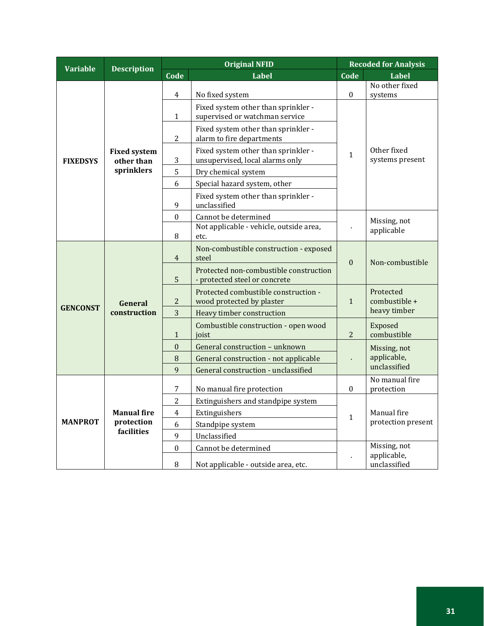| <b>Variable</b><br><b>Description</b> |                                   | <b>Original NFID</b> |                                                                         |                  | <b>Recoded for Analysis</b>    |  |
|---------------------------------------|-----------------------------------|----------------------|-------------------------------------------------------------------------|------------------|--------------------------------|--|
|                                       |                                   | Code                 | <b>Label</b>                                                            | Code             | <b>Label</b>                   |  |
|                                       |                                   | $\overline{4}$       | No fixed system                                                         | $\boldsymbol{0}$ | No other fixed<br>systems      |  |
|                                       |                                   | $\mathbf{1}$         | Fixed system other than sprinkler -<br>supervised or watchman service   |                  |                                |  |
|                                       |                                   | $\overline{2}$       | Fixed system other than sprinkler -<br>alarm to fire departments        |                  |                                |  |
| <b>FIXEDSYS</b>                       | <b>Fixed system</b><br>other than | 3                    | Fixed system other than sprinkler -<br>unsupervised, local alarms only  | $\mathbf{1}$     | Other fixed<br>systems present |  |
|                                       | sprinklers                        | 5                    | Dry chemical system                                                     |                  |                                |  |
|                                       |                                   | 6                    | Special hazard system, other                                            |                  |                                |  |
|                                       |                                   | 9                    | Fixed system other than sprinkler -<br>unclassified                     |                  |                                |  |
|                                       |                                   | $\mathbf{0}$         | Cannot be determined                                                    |                  | Missing, not                   |  |
|                                       |                                   | $\, 8$               | Not applicable - vehicle, outside area,<br>etc.                         |                  | applicable                     |  |
|                                       | General<br>construction           | $\overline{4}$       | Non-combustible construction - exposed<br>steel                         |                  | Non-combustible                |  |
|                                       |                                   | 5                    | Protected non-combustible construction<br>- protected steel or concrete | $\theta$         |                                |  |
| <b>GENCONST</b>                       |                                   | $\overline{c}$       | Protected combustible construction -<br>wood protected by plaster       |                  | Protected<br>combustible +     |  |
|                                       |                                   | 3                    | Heavy timber construction                                               |                  | heavy timber                   |  |
|                                       |                                   | $\mathbf{1}$         | Combustible construction - open wood<br>joist                           | $\overline{2}$   | Exposed<br>combustible         |  |
|                                       |                                   | $\boldsymbol{0}$     | General construction - unknown                                          |                  | Missing, not                   |  |
|                                       |                                   | 8                    | General construction - not applicable                                   |                  | applicable,                    |  |
|                                       |                                   | 9                    | General construction - unclassified                                     |                  | unclassified                   |  |
|                                       |                                   | 7                    | No manual fire protection                                               | $\boldsymbol{0}$ | No manual fire<br>protection   |  |
|                                       |                                   | $\overline{2}$       | Extinguishers and standpipe system                                      |                  |                                |  |
|                                       | <b>Manual fire</b>                | $\overline{4}$       | Extinguishers                                                           |                  | Manual fire                    |  |
| <b>MANPROT</b>                        | protection                        | 6                    | Standpipe system                                                        | $\mathbf{1}$     | protection present             |  |
|                                       | facilities                        | 9                    | Unclassified                                                            |                  |                                |  |
|                                       |                                   | $\mathbf{0}$         | Cannot be determined                                                    |                  | Missing, not                   |  |
|                                       |                                   | 8                    | Not applicable - outside area, etc.                                     |                  | applicable,<br>unclassified    |  |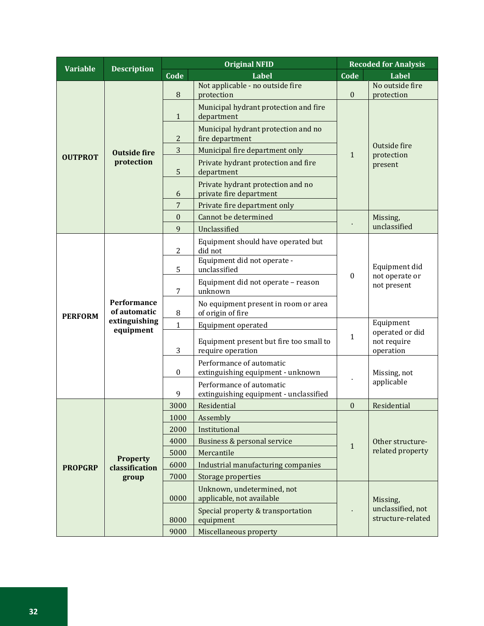| <b>Variable</b> |                                                           | <b>Original NFID</b> |                                                                    |                  | <b>Recoded for Analysis</b>                              |  |
|-----------------|-----------------------------------------------------------|----------------------|--------------------------------------------------------------------|------------------|----------------------------------------------------------|--|
|                 | <b>Description</b>                                        | Code                 | <b>Label</b>                                                       | Code             | Label                                                    |  |
|                 |                                                           | 8                    | Not applicable - no outside fire<br>protection                     | $\boldsymbol{0}$ | No outside fire<br>protection                            |  |
|                 |                                                           | $\mathbf{1}$         | Municipal hydrant protection and fire<br>department                |                  |                                                          |  |
|                 |                                                           | 2                    | Municipal hydrant protection and no<br>fire department             |                  |                                                          |  |
|                 | <b>Outside fire</b>                                       | 3                    | Municipal fire department only                                     | 1                | Outside fire<br>protection                               |  |
| <b>OUTPROT</b>  | protection                                                | 5                    | Private hydrant protection and fire<br>department                  |                  | present                                                  |  |
|                 |                                                           | 6                    | Private hydrant protection and no<br>private fire department       |                  |                                                          |  |
|                 |                                                           | 7                    | Private fire department only                                       |                  |                                                          |  |
|                 |                                                           | $\mathbf{0}$         | Cannot be determined                                               |                  | Missing,<br>unclassified                                 |  |
|                 |                                                           | 9                    | Unclassified                                                       |                  |                                                          |  |
|                 |                                                           | $\overline{2}$       | Equipment should have operated but<br>did not                      |                  | Equipment did<br>not operate or                          |  |
|                 | Performance<br>of automatic<br>extinguishing<br>equipment | 5                    | Equipment did not operate -<br>unclassified                        | $\mathbf{0}$     |                                                          |  |
| <b>PERFORM</b>  |                                                           | 7                    | Equipment did not operate - reason<br>unknown                      |                  | not present                                              |  |
|                 |                                                           | $\, 8$               | No equipment present in room or area<br>of origin of fire          |                  |                                                          |  |
|                 |                                                           | $\mathbf{1}$         | Equipment operated                                                 |                  | Equipment<br>operated or did<br>not require<br>operation |  |
|                 |                                                           | 3                    | Equipment present but fire too small to<br>require operation       | $\mathbf{1}$     |                                                          |  |
|                 |                                                           | $\bf{0}$             | Performance of automatic<br>extinguishing equipment - unknown      |                  | Missing, not                                             |  |
|                 |                                                           | 9                    | Performance of automatic<br>extinguishing equipment - unclassified |                  | applicable                                               |  |
|                 |                                                           | 3000                 | Residential                                                        | $\boldsymbol{0}$ | Residential                                              |  |
|                 |                                                           | 1000                 | Assembly                                                           |                  |                                                          |  |
|                 |                                                           | 2000                 | Institutional                                                      |                  |                                                          |  |
|                 |                                                           | 4000                 | Business & personal service                                        | $\mathbf{1}$     | Other structure-                                         |  |
|                 | <b>Property</b>                                           | 5000                 | Mercantile                                                         |                  | related property                                         |  |
| <b>PROPGRP</b>  | classification                                            | 6000                 | Industrial manufacturing companies                                 |                  |                                                          |  |
|                 | group                                                     | 7000                 | Storage properties                                                 |                  |                                                          |  |
|                 |                                                           | 0000                 | Unknown, undetermined, not<br>applicable, not available            |                  | Missing,                                                 |  |
|                 |                                                           | 8000                 | Special property & transportation<br>equipment                     |                  | unclassified, not<br>structure-related                   |  |
|                 |                                                           | 9000                 | Miscellaneous property                                             |                  |                                                          |  |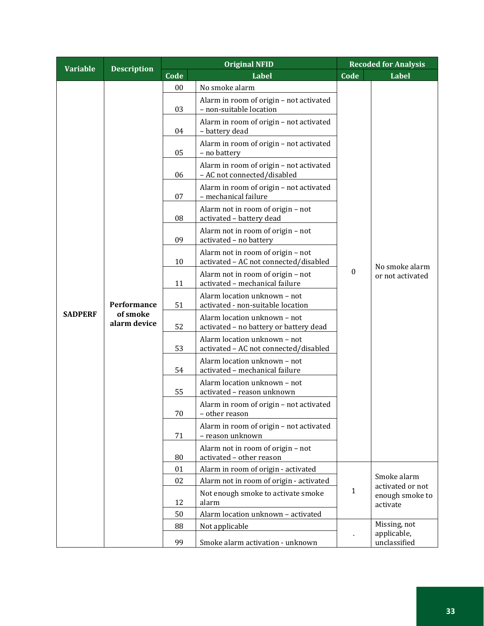| <b>Variable</b><br><b>Description</b> |                                         | <b>Original NFID</b> |                                                                            | <b>Recoded for Analysis</b> |                                    |  |  |  |  |  |        |                                                           |  |  |
|---------------------------------------|-----------------------------------------|----------------------|----------------------------------------------------------------------------|-----------------------------|------------------------------------|--|--|--|--|--|--------|-----------------------------------------------------------|--|--|
|                                       |                                         | Code                 | <b>Label</b>                                                               | Code                        | Label                              |  |  |  |  |  |        |                                                           |  |  |
|                                       |                                         | 00                   | No smoke alarm                                                             |                             |                                    |  |  |  |  |  |        |                                                           |  |  |
|                                       |                                         | 03                   | Alarm in room of origin - not activated<br>- non-suitable location         |                             |                                    |  |  |  |  |  |        |                                                           |  |  |
|                                       |                                         | 04                   | Alarm in room of origin - not activated<br>- battery dead                  |                             |                                    |  |  |  |  |  |        |                                                           |  |  |
|                                       |                                         | 05                   | Alarm in room of origin - not activated<br>- no battery                    |                             |                                    |  |  |  |  |  |        |                                                           |  |  |
|                                       |                                         | 06                   | Alarm in room of origin - not activated<br>- AC not connected/disabled     |                             |                                    |  |  |  |  |  |        |                                                           |  |  |
|                                       |                                         | 07                   | Alarm in room of origin - not activated<br>- mechanical failure            |                             |                                    |  |  |  |  |  |        |                                                           |  |  |
|                                       |                                         | 08                   | Alarm not in room of origin - not<br>activated - battery dead              |                             |                                    |  |  |  |  |  |        |                                                           |  |  |
|                                       |                                         | 09                   | Alarm not in room of origin - not<br>activated - no battery                |                             |                                    |  |  |  |  |  |        |                                                           |  |  |
|                                       |                                         | 10                   | Alarm not in room of origin - not<br>activated - AC not connected/disabled |                             | No smoke alarm<br>or not activated |  |  |  |  |  |        |                                                           |  |  |
|                                       | Performance<br>of smoke<br>alarm device | 11                   | Alarm not in room of origin - not<br>activated - mechanical failure        | $\boldsymbol{0}$            |                                    |  |  |  |  |  |        |                                                           |  |  |
|                                       |                                         | 51                   | Alarm location unknown - not<br>activated - non-suitable location          |                             |                                    |  |  |  |  |  |        |                                                           |  |  |
| <b>SADPERF</b>                        |                                         | 52                   | Alarm location unknown - not<br>activated - no battery or battery dead     |                             |                                    |  |  |  |  |  |        |                                                           |  |  |
|                                       |                                         | 53                   | Alarm location unknown - not<br>activated - AC not connected/disabled      |                             |                                    |  |  |  |  |  |        |                                                           |  |  |
|                                       |                                         | 54                   | Alarm location unknown - not<br>activated - mechanical failure             |                             |                                    |  |  |  |  |  |        |                                                           |  |  |
|                                       |                                         | 55                   | Alarm location unknown - not<br>activated - reason unknown                 |                             |                                    |  |  |  |  |  |        |                                                           |  |  |
|                                       |                                         |                      |                                                                            |                             |                                    |  |  |  |  |  | $70\,$ | Alarm in room of origin - not activated<br>– other reason |  |  |
|                                       |                                         | 71                   | Alarm in room of origin - not activated<br>- reason unknown                |                             |                                    |  |  |  |  |  |        |                                                           |  |  |
|                                       |                                         | 80                   | Alarm not in room of origin - not<br>activated - other reason              |                             |                                    |  |  |  |  |  |        |                                                           |  |  |
|                                       |                                         | 01                   | Alarm in room of origin - activated                                        |                             |                                    |  |  |  |  |  |        |                                                           |  |  |
|                                       |                                         | 02                   | Alarm not in room of origin - activated                                    |                             | Smoke alarm<br>activated or not    |  |  |  |  |  |        |                                                           |  |  |
|                                       |                                         | 12                   | Not enough smoke to activate smoke<br>alarm                                | 1                           | enough smoke to<br>activate        |  |  |  |  |  |        |                                                           |  |  |
|                                       |                                         | 50                   | Alarm location unknown - activated                                         |                             |                                    |  |  |  |  |  |        |                                                           |  |  |
|                                       |                                         | 88                   | Not applicable                                                             |                             | Missing, not<br>applicable,        |  |  |  |  |  |        |                                                           |  |  |
|                                       |                                         | 99                   | Smoke alarm activation - unknown                                           |                             | unclassified                       |  |  |  |  |  |        |                                                           |  |  |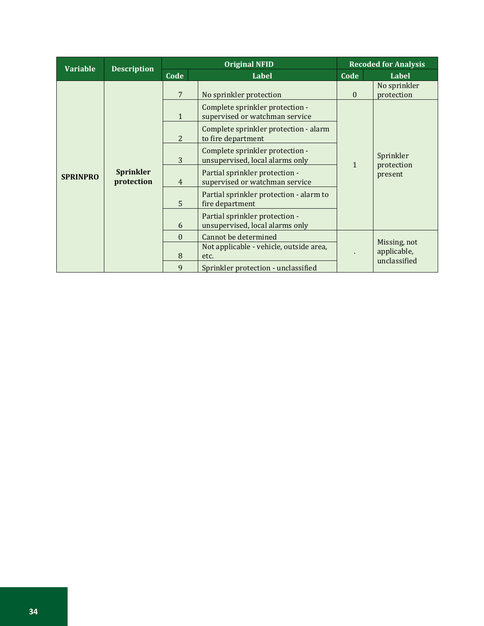| <b>Variable</b> | <b>Description</b>             | <b>Original NFID</b>                                                    |                                                                   |              | <b>Recoded for Analysis</b>                 |  |  |
|-----------------|--------------------------------|-------------------------------------------------------------------------|-------------------------------------------------------------------|--------------|---------------------------------------------|--|--|
|                 |                                | Code                                                                    | <b>Label</b>                                                      | Code         | Label                                       |  |  |
|                 |                                | 7                                                                       | No sprinkler protection                                           | $\Omega$     | No sprinkler<br>protection                  |  |  |
|                 |                                | $\mathbf{1}$                                                            | Complete sprinkler protection -<br>supervised or watchman service |              |                                             |  |  |
|                 |                                | 2                                                                       | Complete sprinkler protection - alarm<br>to fire department       |              |                                             |  |  |
| <b>SPRINPRO</b> |                                | Complete sprinkler protection -<br>3<br>unsupervised, local alarms only |                                                                   | $\mathbf{1}$ | Sprinkler<br>protection                     |  |  |
|                 | <b>Sprinkler</b><br>protection | $\overline{4}$                                                          | Partial sprinkler protection -<br>supervised or watchman service  |              | present                                     |  |  |
|                 |                                | 5                                                                       | Partial sprinkler protection - alarm to<br>fire department        |              |                                             |  |  |
|                 |                                | 6                                                                       | Partial sprinkler protection -<br>unsupervised, local alarms only |              |                                             |  |  |
|                 |                                | $\Omega$                                                                | Cannot be determined                                              |              |                                             |  |  |
|                 |                                | 8                                                                       | Not applicable - vehicle, outside area,<br>etc.                   |              | Missing, not<br>applicable,<br>unclassified |  |  |
|                 |                                | 9                                                                       | Sprinkler protection - unclassified                               |              |                                             |  |  |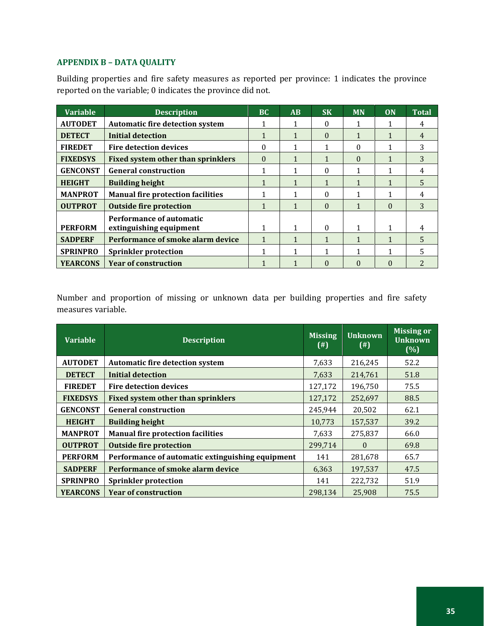# <span id="page-38-0"></span>**APPENDIX B – DATA QUALITY**

Building properties and fire safety measures as reported per province: 1 indicates the province reported on the variable; 0 indicates the province did not.

| <b>Variable</b> | <b>Description</b>                                  | <b>BC</b> | AB | <b>SK</b> | <b>MN</b>    | ON       | <b>Total</b> |
|-----------------|-----------------------------------------------------|-----------|----|-----------|--------------|----------|--------------|
| <b>AUTODET</b>  | <b>Automatic fire detection system</b>              |           |    | 0         |              |          | 4            |
| <b>DETECT</b>   | <b>Initial detection</b>                            |           |    | 0         |              |          | 4            |
| <b>FIREDET</b>  | <b>Fire detection devices</b>                       | $\theta$  |    |           | 0            |          | 3            |
| <b>FIXEDSYS</b> | <b>Fixed system other than sprinklers</b>           | $\Omega$  |    |           | $\Omega$     |          | 3            |
| <b>GENCONST</b> | <b>General construction</b>                         |           |    | 0         |              |          |              |
| <b>HEIGHT</b>   | <b>Building height</b>                              |           |    |           |              |          | 5            |
| <b>MANPROT</b>  | <b>Manual fire protection facilities</b>            |           |    | 0         |              |          | 4            |
| <b>OUTPROT</b>  | <b>Outside fire protection</b>                      |           |    | 0         | $\mathbf{1}$ | $\Omega$ | 3            |
| <b>PERFORM</b>  | Performance of automatic<br>extinguishing equipment | 1         |    | 0         | $\mathbf{1}$ | 1        | 4            |
| <b>SADPERF</b>  | Performance of smoke alarm device                   |           |    |           |              |          |              |
| <b>SPRINPRO</b> | <b>Sprinkler protection</b>                         |           |    |           |              |          | 5.           |
| <b>YEARCONS</b> | <b>Year of construction</b>                         |           |    | 0         | $\Omega$     | 0        |              |

Number and proportion of missing or unknown data per building properties and fire safety measures variable.

| <b>Variable</b> | <b>Description</b>                               | <b>Missing</b><br>(4) | <b>Unknown</b><br>$^{(#)}$ | <b>Missing or</b><br><b>Unknown</b><br>(% ) |
|-----------------|--------------------------------------------------|-----------------------|----------------------------|---------------------------------------------|
| <b>AUTODET</b>  | <b>Automatic fire detection system</b>           | 7,633                 | 216,245                    | 52.2                                        |
| <b>DETECT</b>   | Initial detection                                | 7,633                 | 214,761                    | 51.8                                        |
| <b>FIREDET</b>  | <b>Fire detection devices</b>                    | 127,172               | 196,750                    | 75.5                                        |
| <b>FIXEDSYS</b> | <b>Fixed system other than sprinklers</b>        | 127,172               | 252,697                    | 88.5                                        |
| <b>GENCONST</b> | <b>General construction</b>                      | 245,944               | 20,502                     | 62.1                                        |
| <b>HEIGHT</b>   | <b>Building height</b>                           | 10,773                | 157,537                    | 39.2                                        |
| <b>MANPROT</b>  | <b>Manual fire protection facilities</b>         | 7,633                 | 275,837                    | 66.0                                        |
| <b>OUTPROT</b>  | <b>Outside fire protection</b>                   | 299,714               | $\Omega$                   | 69.8                                        |
| <b>PERFORM</b>  | Performance of automatic extinguishing equipment | 141                   | 281,678                    | 65.7                                        |
| <b>SADPERF</b>  | Performance of smoke alarm device                | 6,363                 | 197,537                    | 47.5                                        |
| <b>SPRINPRO</b> | <b>Sprinkler protection</b>                      | 141                   | 222,732                    | 51.9                                        |
| <b>YEARCONS</b> | <b>Year of construction</b>                      | 298.134               | 25.908                     | 75.5                                        |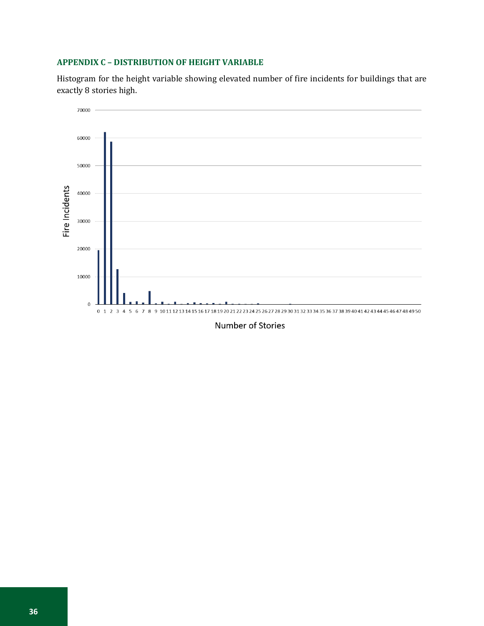## <span id="page-39-0"></span>**APPENDIX C – DISTRIBUTION OF HEIGHT VARIABLE**

Histogram for the height variable showing elevated number of fire incidents for buildings that are exactly 8 stories high.



Number of Stories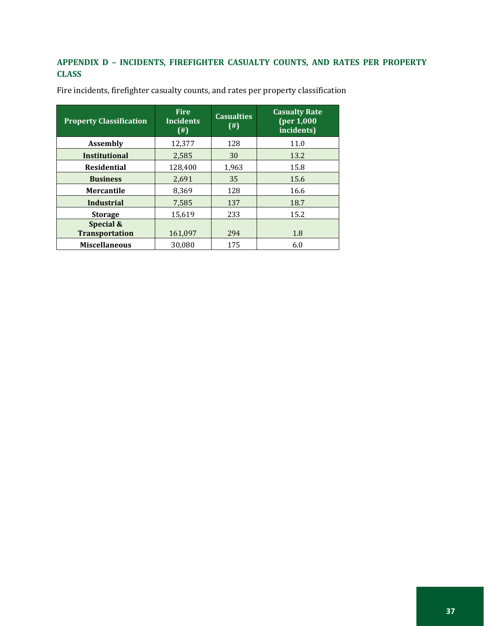# <span id="page-40-0"></span>**APPENDIX D – INCIDENTS, FIREFIGHTER CASUALTY COUNTS, AND RATES PER PROPERTY CLASS**

| <b>Property Classification</b>     | <b>Fire</b><br><b>Incidents</b><br>$($ # $)$ | <b>Casualties</b><br>$($ # $)$ | <b>Casualty Rate</b><br>(per 1,000<br>incidents) |
|------------------------------------|----------------------------------------------|--------------------------------|--------------------------------------------------|
| <b>Assembly</b>                    | 12,377                                       | 128                            | 11.0                                             |
| <b>Institutional</b>               | 2.585                                        | 30                             | 13.2                                             |
| <b>Residential</b>                 | 128.400                                      | 1,963                          | 15.8                                             |
| <b>Business</b>                    | 2,691                                        | 35                             | 15.6                                             |
| Mercantile                         | 8,369                                        | 128                            | 16.6                                             |
| <b>Industrial</b>                  | 7.585                                        | 137                            | 18.7                                             |
| <b>Storage</b>                     | 15.619                                       | 233                            | 15.2                                             |
| Special &<br><b>Transportation</b> | 161,097                                      | 294                            | 1.8                                              |
| <b>Miscellaneous</b>               | 30.080                                       | 175                            | 6.0                                              |

Fire incidents, firefighter casualty counts, and rates per property classification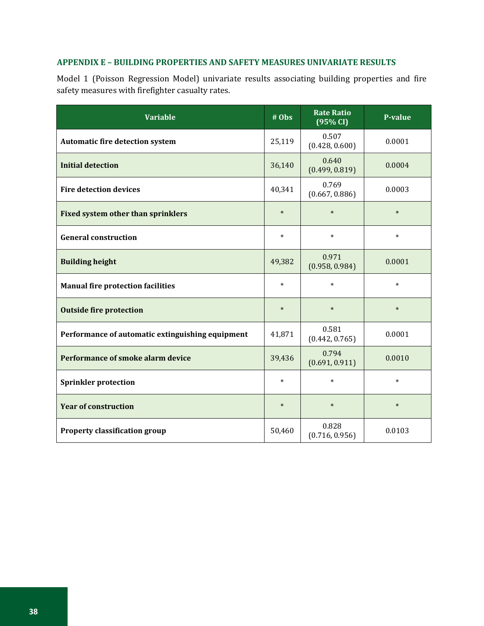## <span id="page-41-0"></span>**APPENDIX E – BUILDING PROPERTIES AND SAFETY MEASURES UNIVARIATE RESULTS**

Model 1 (Poisson Regression Model) univariate results associating building properties and fire safety measures with firefighter casualty rates.

| <b>Variable</b>                                  | $\frac{\text{#} \overline{\text{Obs}}}{\text{#} \cdot \overline{\text{Obs}}}$ | <b>Rate Ratio</b><br>(95% CI) | <b>P-value</b> |
|--------------------------------------------------|-------------------------------------------------------------------------------|-------------------------------|----------------|
| <b>Automatic fire detection system</b>           | 25,119                                                                        | 0.507<br>(0.428, 0.600)       | 0.0001         |
| <b>Initial detection</b>                         | 36,140                                                                        | 0.640<br>(0.499, 0.819)       | 0.0004         |
| <b>Fire detection devices</b>                    | 40,341                                                                        | 0.769<br>(0.667, 0.886)       | 0.0003         |
| <b>Fixed system other than sprinklers</b>        | $\ast$                                                                        | $\ast$                        | $\ast$         |
| <b>General construction</b>                      | $\ast$                                                                        | $\ast$                        | $\ast$         |
| <b>Building height</b>                           | 49,382                                                                        | 0.971<br>(0.958, 0.984)       | 0.0001         |
| <b>Manual fire protection facilities</b>         | $\ast$                                                                        | $\ast$                        | $\ast$         |
| <b>Outside fire protection</b>                   | $\ast$                                                                        | $\ast$                        | $\ast$         |
| Performance of automatic extinguishing equipment | 41,871                                                                        | 0.581<br>(0.442, 0.765)       | 0.0001         |
| Performance of smoke alarm device                | 39,436                                                                        | 0.794<br>(0.691, 0.911)       | 0.0010         |
| <b>Sprinkler protection</b>                      | $\ast$                                                                        | $\ast$                        | $\ast$         |
| <b>Year of construction</b>                      | $\ast$                                                                        | $\ast$                        | $\ast$         |
| <b>Property classification group</b>             | 50,460                                                                        | 0.828<br>(0.716, 0.956)       | 0.0103         |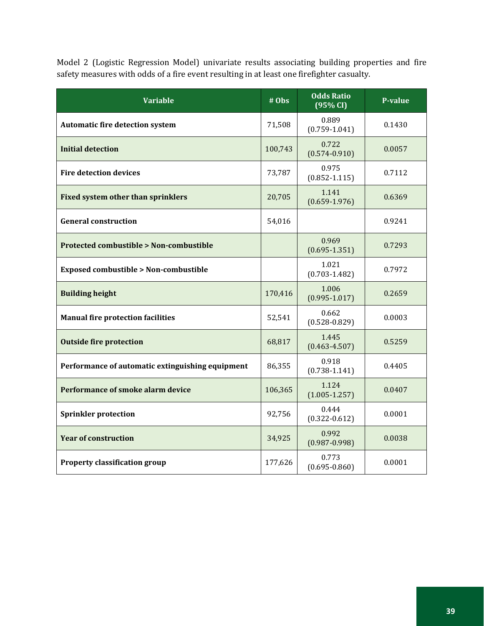Model 2 (Logistic Regression Model) univariate results associating building properties and fire safety measures with odds of a fire event resulting in at least one firefighter casualty.

| <b>Variable</b>                                   | # Obs   | <b>Odds Ratio</b><br>(95% CI) | <b>P-value</b> |
|---------------------------------------------------|---------|-------------------------------|----------------|
| <b>Automatic fire detection system</b>            | 71,508  | 0.889<br>$(0.759 - 1.041)$    | 0.1430         |
| <b>Initial detection</b>                          | 100,743 | 0.722<br>$(0.574 - 0.910)$    | 0.0057         |
| <b>Fire detection devices</b>                     | 73,787  | 0.975<br>$(0.852 - 1.115)$    | 0.7112         |
| <b>Fixed system other than sprinklers</b>         | 20,705  | 1.141<br>$(0.659 - 1.976)$    | 0.6369         |
| <b>General construction</b>                       | 54,016  |                               | 0.9241         |
| <b>Protected combustible &gt; Non-combustible</b> |         | 0.969<br>$(0.695 - 1.351)$    | 0.7293         |
| <b>Exposed combustible &gt; Non-combustible</b>   |         | 1.021<br>$(0.703 - 1.482)$    | 0.7972         |
| <b>Building height</b>                            | 170,416 | 1.006<br>$(0.995 - 1.017)$    | 0.2659         |
| <b>Manual fire protection facilities</b>          | 52,541  | 0.662<br>$(0.528 - 0.829)$    | 0.0003         |
| <b>Outside fire protection</b>                    | 68,817  | 1.445<br>$(0.463 - 4.507)$    | 0.5259         |
| Performance of automatic extinguishing equipment  | 86,355  | 0.918<br>$(0.738 - 1.141)$    | 0.4405         |
| Performance of smoke alarm device                 | 106,365 | 1.124<br>$(1.005 - 1.257)$    | 0.0407         |
| <b>Sprinkler protection</b>                       | 92,756  | 0.444<br>$(0.322 - 0.612)$    | 0.0001         |
| <b>Year of construction</b>                       | 34,925  | 0.992<br>$(0.987 - 0.998)$    | 0.0038         |
| <b>Property classification group</b>              | 177,626 | 0.773<br>$(0.695 - 0.860)$    | 0.0001         |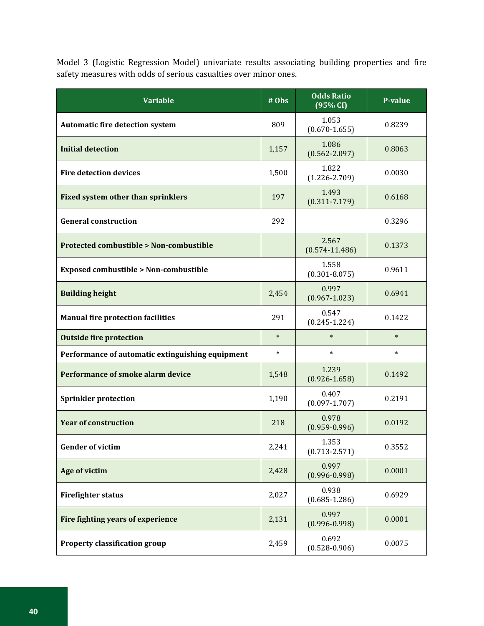Model 3 (Logistic Regression Model) univariate results associating building properties and fire safety measures with odds of serious casualties over minor ones.

| <b>Variable</b>                                   | # Obs  | <b>Odds Ratio</b><br>(95% CI) | <b>P-value</b> |
|---------------------------------------------------|--------|-------------------------------|----------------|
| <b>Automatic fire detection system</b>            | 809    | 1.053<br>$(0.670 - 1.655)$    | 0.8239         |
| <b>Initial detection</b>                          | 1,157  | 1.086<br>$(0.562 - 2.097)$    | 0.8063         |
| <b>Fire detection devices</b>                     | 1,500  | 1.822<br>$(1.226 - 2.709)$    | 0.0030         |
| <b>Fixed system other than sprinklers</b>         | 197    | 1.493<br>$(0.311 - 7.179)$    | 0.6168         |
| <b>General construction</b>                       | 292    |                               | 0.3296         |
| <b>Protected combustible &gt; Non-combustible</b> |        | 2.567<br>$(0.574 - 11.486)$   | 0.1373         |
| <b>Exposed combustible &gt; Non-combustible</b>   |        | 1.558<br>$(0.301 - 8.075)$    | 0.9611         |
| <b>Building height</b>                            | 2,454  | 0.997<br>$(0.967 - 1.023)$    | 0.6941         |
| <b>Manual fire protection facilities</b>          | 291    | 0.547<br>$(0.245 - 1.224)$    | 0.1422         |
| <b>Outside fire protection</b>                    | $\ast$ | $\ast$                        | $\ast$         |
| Performance of automatic extinguishing equipment  | $\ast$ | $\ast$                        | $\ast$         |
| Performance of smoke alarm device                 | 1,548  | 1.239<br>$(0.926 - 1.658)$    | 0.1492         |
| <b>Sprinkler protection</b>                       | 1,190  | 0.407<br>$(0.097 - 1.707)$    | 0.2191         |
| <b>Year of construction</b>                       | 218    | 0.978<br>$(0.959 - 0.996)$    | 0.0192         |
| <b>Gender of victim</b>                           | 2,241  | 1.353<br>$(0.713 - 2.571)$    | 0.3552         |
| Age of victim                                     | 2,428  | 0.997<br>$(0.996 - 0.998)$    | 0.0001         |
| <b>Firefighter status</b>                         | 2,027  | 0.938<br>$(0.685 - 1.286)$    | 0.6929         |
| Fire fighting years of experience                 | 2,131  | 0.997<br>$(0.996 - 0.998)$    | 0.0001         |
| <b>Property classification group</b>              | 2,459  | 0.692<br>$(0.528 - 0.906)$    | 0.0075         |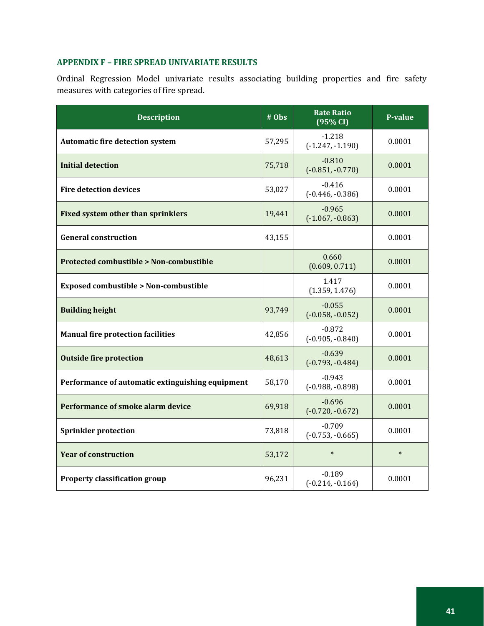# <span id="page-44-0"></span>**APPENDIX F – FIRE SPREAD UNIVARIATE RESULTS**

Ordinal Regression Model univariate results associating building properties and fire safety measures with categories of fire spread.

| <b>Description</b>                                | # Obs  | <b>Rate Ratio</b><br>(95% CI)  | <b>P-value</b> |
|---------------------------------------------------|--------|--------------------------------|----------------|
| <b>Automatic fire detection system</b>            | 57,295 | $-1.218$<br>$(-1.247, -1.190)$ | 0.0001         |
| <b>Initial detection</b>                          | 75,718 | $-0.810$<br>$(-0.851, -0.770)$ | 0.0001         |
| <b>Fire detection devices</b>                     | 53,027 | $-0.416$<br>$(-0.446, -0.386)$ | 0.0001         |
| <b>Fixed system other than sprinklers</b>         | 19,441 | $-0.965$<br>$(-1.067, -0.863)$ | 0.0001         |
| <b>General construction</b>                       | 43,155 |                                | 0.0001         |
| <b>Protected combustible &gt; Non-combustible</b> |        | 0.660<br>(0.609, 0.711)        | 0.0001         |
| <b>Exposed combustible &gt; Non-combustible</b>   |        | 1.417<br>(1.359, 1.476)        | 0.0001         |
| <b>Building height</b>                            | 93,749 | $-0.055$<br>$(-0.058, -0.052)$ | 0.0001         |
| <b>Manual fire protection facilities</b>          | 42,856 | $-0.872$<br>$(-0.905, -0.840)$ | 0.0001         |
| <b>Outside fire protection</b>                    | 48,613 | $-0.639$<br>$(-0.793, -0.484)$ | 0.0001         |
| Performance of automatic extinguishing equipment  | 58,170 | $-0.943$<br>$(-0.988, -0.898)$ | 0.0001         |
| Performance of smoke alarm device                 | 69,918 | $-0.696$<br>$(-0.720, -0.672)$ | 0.0001         |
| <b>Sprinkler protection</b>                       | 73,818 | $-0.709$<br>$(-0.753, -0.665)$ | 0.0001         |
| <b>Year of construction</b>                       | 53,172 | $\ast$                         | $\ast$         |
| <b>Property classification group</b>              | 96,231 | $-0.189$<br>$(-0.214, -0.164)$ | 0.0001         |